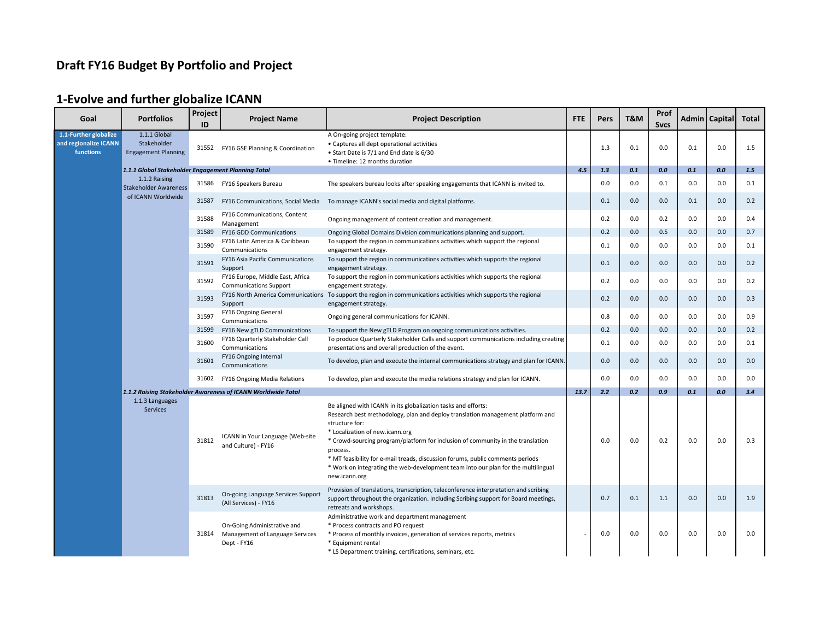# **Draft FY16 Budget By Portfolio and Project**

# **1-Evolve and further globalize ICANN**

| Goal                                                        | <b>Portfolios</b>                                         | Project<br>ID | <b>Project Name</b>                                                           | <b>Project Description</b>                                                                                                                                                                                                                                                                                                                                                                                                                                                                  | <b>FTE</b> | <b>Pers</b> | T&M | Prof<br><b>Svcs</b> |     | Admin   Capital | <b>Total</b> |
|-------------------------------------------------------------|-----------------------------------------------------------|---------------|-------------------------------------------------------------------------------|---------------------------------------------------------------------------------------------------------------------------------------------------------------------------------------------------------------------------------------------------------------------------------------------------------------------------------------------------------------------------------------------------------------------------------------------------------------------------------------------|------------|-------------|-----|---------------------|-----|-----------------|--------------|
| 1.1-Further globalize<br>and regionalize ICANN<br>functions | 1.1.1 Global<br>Stakeholder<br><b>Engagement Planning</b> | 31552         | FY16 GSE Planning & Coordination                                              | A On-going project template:<br>• Captures all dept operational activities<br>• Start Date is 7/1 and End date is 6/30<br>• Timeline: 12 months duration                                                                                                                                                                                                                                                                                                                                    |            | 1.3         | 0.1 | 0.0                 | 0.1 | 0.0             | 1.5          |
|                                                             | 1.1.1 Global Stakeholder Engagement Planning Total        |               |                                                                               |                                                                                                                                                                                                                                                                                                                                                                                                                                                                                             | 4.5        | 1.3         | 0.1 | 0.0                 | 0.1 | 0.0             | 1.5          |
|                                                             | 1.1.2 Raising<br><b>Stakeholder Awareness</b>             | 31586         | FY16 Speakers Bureau                                                          | The speakers bureau looks after speaking engagements that ICANN is invited to.                                                                                                                                                                                                                                                                                                                                                                                                              |            | 0.0         | 0.0 | 0.1                 | 0.0 | 0.0             | 0.1          |
|                                                             | of ICANN Worldwide                                        | 31587         | FY16 Communications, Social Media                                             | To manage ICANN's social media and digital platforms.                                                                                                                                                                                                                                                                                                                                                                                                                                       |            | 0.1         | 0.0 | 0.0                 | 0.1 | 0.0             | 0.2          |
|                                                             |                                                           | 31588         | <b>FY16 Communications, Content</b><br>Management                             | Ongoing management of content creation and management.                                                                                                                                                                                                                                                                                                                                                                                                                                      |            | 0.2         | 0.0 | 0.2                 | 0.0 | 0.0             | 0.4          |
|                                                             |                                                           | 31589         | FY16 GDD Communications                                                       | Ongoing Global Domains Division communications planning and support.                                                                                                                                                                                                                                                                                                                                                                                                                        |            | 0.2         | 0.0 | 0.5                 | 0.0 | 0.0             | 0.7          |
|                                                             |                                                           | 31590         | FY16 Latin America & Caribbean<br>Communications                              | To support the region in communications activities which support the regional<br>engagement strategy.                                                                                                                                                                                                                                                                                                                                                                                       |            | 0.1         | 0.0 | 0.0                 | 0.0 | 0.0             | 0.1          |
|                                                             |                                                           | 31591         | FY16 Asia Pacific Communications<br>Support                                   | To support the region in communications activities which supports the regional<br>engagement strategy.                                                                                                                                                                                                                                                                                                                                                                                      |            | 0.1         | 0.0 | 0.0                 | 0.0 | 0.0             | 0.2          |
|                                                             |                                                           | 31592         | FY16 Europe, Middle East, Africa<br><b>Communications Support</b>             | To support the region in communications activities which supports the regional<br>engagement strategy.                                                                                                                                                                                                                                                                                                                                                                                      |            | 0.2         | 0.0 | 0.0                 | 0.0 | 0.0             | 0.2          |
|                                                             |                                                           | 31593         | Support                                                                       | FY16 North America Communications To support the region in communications activities which supports the regional<br>engagement strategy                                                                                                                                                                                                                                                                                                                                                     |            | 0.2         | 0.0 | 0.0                 | 0.0 | 0.0             | 0.3          |
|                                                             |                                                           | 31597         | FY16 Ongoing General<br>Communications                                        | Ongoing general communications for ICANN.                                                                                                                                                                                                                                                                                                                                                                                                                                                   |            | 0.8         | 0.0 | 0.0                 | 0.0 | 0.0             | 0.9          |
|                                                             |                                                           | 31599         | FY16 New gTLD Communications                                                  | To support the New gTLD Program on ongoing communications activities.                                                                                                                                                                                                                                                                                                                                                                                                                       |            | 0.2         | 0.0 | 0.0                 | 0.0 | 0.0             | 0.2          |
|                                                             |                                                           | 31600         | FY16 Quarterly Stakeholder Call<br>Communications                             | To produce Quarterly Stakeholder Calls and support communications including creating<br>presentations and overall production of the event.                                                                                                                                                                                                                                                                                                                                                  |            | 0.1         | 0.0 | 0.0                 | 0.0 | 0.0             | 0.1          |
|                                                             |                                                           | 31601         | FY16 Ongoing Internal<br>Communications                                       | To develop, plan and execute the internal communications strategy and plan for ICANN.                                                                                                                                                                                                                                                                                                                                                                                                       |            | 0.0         | 0.0 | 0.0                 | 0.0 | 0.0             | 0.0          |
|                                                             |                                                           | 31602         | <b>FY16 Ongoing Media Relations</b>                                           | To develop, plan and execute the media relations strategy and plan for ICANN.                                                                                                                                                                                                                                                                                                                                                                                                               |            | 0.0         | 0.0 | 0.0                 | 0.0 | 0.0             | 0.0          |
|                                                             |                                                           |               | 1.1.2 Raising Stakeholder Awareness of ICANN Worldwide Total                  |                                                                                                                                                                                                                                                                                                                                                                                                                                                                                             | 13.7       | 2.2         | 0.2 | 0.9                 | 0.1 | 0.0             | 3.4          |
|                                                             | 1.1.3 Languages<br><b>Services</b>                        | 31812         | ICANN in Your Language (Web-site<br>and Culture) - FY16                       | Be aligned with ICANN in its globalization tasks and efforts:<br>Research best methodology, plan and deploy translation management platform and<br>structure for:<br>* Localization of new.icann.org<br>* Crowd-sourcing program/platform for inclusion of community in the translation<br>process.<br>* MT feasibility for e-mail treads, discussion forums, public comments periods<br>* Work on integrating the web-development team into our plan for the multilingual<br>new.icann.org |            | 0.0         | 0.0 | 0.2                 | 0.0 | 0.0             | 0.3          |
|                                                             |                                                           | 31813         | On-going Language Services Support<br>(All Services) - FY16                   | Provision of translations, transcription, teleconference interpretation and scribing<br>support throughout the organization. Including Scribing support for Board meetings,<br>retreats and workshops.                                                                                                                                                                                                                                                                                      |            | 0.7         | 0.1 | 1.1                 | 0.0 | 0.0             | 1.9          |
|                                                             |                                                           | 31814         | On-Going Administrative and<br>Management of Language Services<br>Dept - FY16 | Administrative work and department management<br>* Process contracts and PO request<br>* Process of monthly invoices, generation of services reports, metrics<br>* Equipment rental<br>* LS Department training, certifications, seminars, etc.                                                                                                                                                                                                                                             |            | 0.0         | 0.0 | 0.0                 | 0.0 | 0.0             | 0.0          |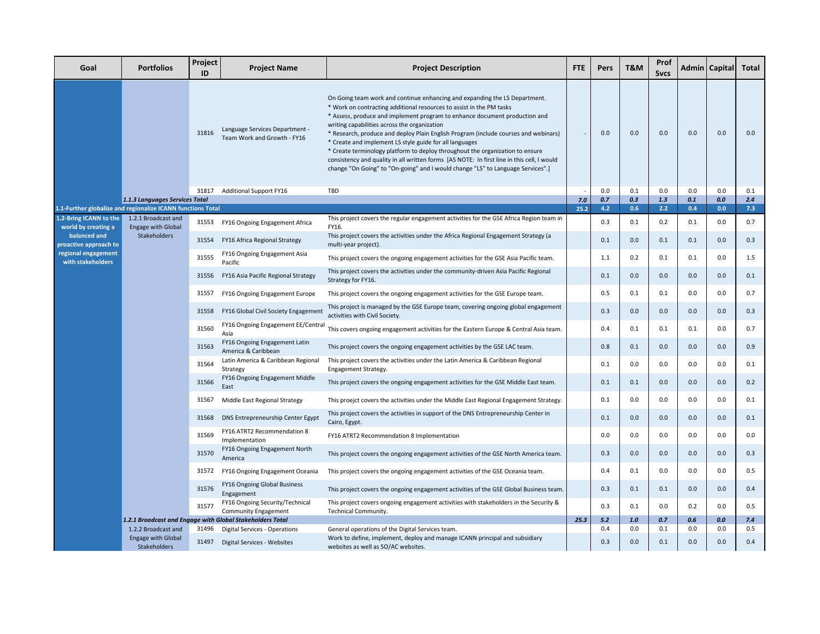| Goal                                                        | <b>Portfolios</b>                                | Project<br>ID | <b>Project Name</b>                                                   | <b>Project Description</b>                                                                                                                                                                                                                                                                                                                                                                                                                                                                                                                                                                                                                                                                           | <b>FTE</b>                                                                            | <b>Pers</b> | <b>T&amp;M</b> | Prof<br><b>Svcs</b> |            | Admin   Capital | Total      |     |
|-------------------------------------------------------------|--------------------------------------------------|---------------|-----------------------------------------------------------------------|------------------------------------------------------------------------------------------------------------------------------------------------------------------------------------------------------------------------------------------------------------------------------------------------------------------------------------------------------------------------------------------------------------------------------------------------------------------------------------------------------------------------------------------------------------------------------------------------------------------------------------------------------------------------------------------------------|---------------------------------------------------------------------------------------|-------------|----------------|---------------------|------------|-----------------|------------|-----|
|                                                             |                                                  | 31816         | Language Services Department -<br>Team Work and Growth - FY16         | On Going team work and continue enhancing and expanding the LS Department.<br>* Work on contracting additional resources to assist in the PM tasks<br>* Assess, produce and implement program to enhance document production and<br>writing capabilities across the organization<br>* Research, produce and deploy Plain English Program (include courses and webinars)<br>* Create and implement LS style guide for all languages<br>* Create terminology platform to deploy throughout the organization to ensure<br>consistency and quality in all written forms [AS NOTE: In first line in this cell, I would<br>change "On Going" to "On-going" and I would change "LS" to Language Services".] |                                                                                       | 0.0         | 0.0            | 0.0                 | 0.0        | 0.0             | 0.0        |     |
|                                                             |                                                  |               | 31817 Additional Support FY16                                         | TBD                                                                                                                                                                                                                                                                                                                                                                                                                                                                                                                                                                                                                                                                                                  |                                                                                       | 0.0         | 0.1            | 0.0                 | 0.0        | 0.0             | 0.1        |     |
| 1.1-Further globalize and regionalize ICANN functions Total | 1.1.3 Languages Services Total                   |               |                                                                       |                                                                                                                                                                                                                                                                                                                                                                                                                                                                                                                                                                                                                                                                                                      | 7.0<br>25.2                                                                           | 0.7<br>4.2  | 0.3<br>0.6     | 1.3<br>2.2          | 0.1<br>0.4 | 0.0<br>0.0      | 2.4<br>7.3 |     |
| 1.2-Bring ICANN to the                                      | 1.2.1 Broadcast and                              |               |                                                                       | This project covers the regular engagement activities for the GSE Africa Region team in                                                                                                                                                                                                                                                                                                                                                                                                                                                                                                                                                                                                              |                                                                                       |             |                |                     |            |                 |            |     |
| world by creating a<br>balanced and                         | <b>Engage with Global</b><br>Stakeholders        | 31554         | 31553 FY16 Ongoing Engagement Africa<br>FY16 Africa Regional Strategy | FY16.<br>This project covers the activities under the Africa Regional Engagement Strategy (a                                                                                                                                                                                                                                                                                                                                                                                                                                                                                                                                                                                                         |                                                                                       | 0.3<br>0.1  | 0.1<br>0.0     | 0.2<br>0.1          | 0.1<br>0.1 | 0.0<br>0.0      | 0.7<br>0.3 |     |
| proactive approach to<br>regional engagement                |                                                  | 31555         | FY16 Ongoing Engagement Asia                                          | multi-year project).<br>This project covers the ongoing engagement activities for the GSE Asia Pacific team.                                                                                                                                                                                                                                                                                                                                                                                                                                                                                                                                                                                         |                                                                                       | 1.1         | 0.2            | 0.1                 | 0.1        | 0.0             | 1.5        |     |
| with stakeholders                                           |                                                  | 31556         | Pacific<br>FY16 Asia Pacific Regional Strategy                        | This project covers the activities under the community-driven Asia Pacific Regional                                                                                                                                                                                                                                                                                                                                                                                                                                                                                                                                                                                                                  |                                                                                       | 0.1         | 0.0            | 0.0                 | 0.0        | 0.0             | 0.1        |     |
|                                                             |                                                  | 31557         | FY16 Ongoing Engagement Europe                                        | Strategy for FY16.<br>This project covers the ongoing engagement activities for the GSE Europe team.                                                                                                                                                                                                                                                                                                                                                                                                                                                                                                                                                                                                 |                                                                                       | 0.5         | 0.1            | 0.1                 | 0.0        | 0.0             | 0.7        |     |
|                                                             |                                                  |               |                                                                       |                                                                                                                                                                                                                                                                                                                                                                                                                                                                                                                                                                                                                                                                                                      |                                                                                       |             |                |                     |            |                 |            |     |
|                                                             |                                                  | 31558         | FY16 Global Civil Society Engagement                                  | This project is managed by the GSE Europe team, covering ongoing global engagement<br>activities with Civil Society.                                                                                                                                                                                                                                                                                                                                                                                                                                                                                                                                                                                 |                                                                                       | 0.3         | 0.0            | 0.0                 | 0.0        | 0.0             | 0.3        |     |
|                                                             |                                                  |               | 31560                                                                 | FY16 Ongoing Engagement EE/Central<br>Asia                                                                                                                                                                                                                                                                                                                                                                                                                                                                                                                                                                                                                                                           | This covers ongoing engagement activities for the Eastern Europe & Central Asia team. |             | 0.4            | 0.1                 | 0.1        | 0.1             | 0.0        | 0.7 |
|                                                             |                                                  | 31563         | FY16 Ongoing Engagement Latin<br>America & Caribbean                  | This project covers the ongoing engagement activities by the GSE LAC team.                                                                                                                                                                                                                                                                                                                                                                                                                                                                                                                                                                                                                           |                                                                                       | 0.8         | 0.1            | 0.0                 | 0.0        | 0.0             | 0.9        |     |
|                                                             |                                                  | 31564         | Latin America & Caribbean Regional<br>Strategy                        | This project covers the activities under the Latin America & Caribbean Regional<br>Engagement Strategy.                                                                                                                                                                                                                                                                                                                                                                                                                                                                                                                                                                                              |                                                                                       | 0.1         | 0.0            | 0.0                 | 0.0        | 0.0             | 0.1        |     |
|                                                             |                                                  | 31566         | FY16 Ongoing Engagement Middle<br>East                                | This project covers the ongoing engagement activities for the GSE Middle East team.                                                                                                                                                                                                                                                                                                                                                                                                                                                                                                                                                                                                                  |                                                                                       | 0.1         | 0.1            | 0.0                 | 0.0        | 0.0             | 0.2        |     |
|                                                             |                                                  | 31567         | Middle East Regional Strategy                                         | This proejct covers the activities under the Middle East Regional Engagement Strategy.                                                                                                                                                                                                                                                                                                                                                                                                                                                                                                                                                                                                               |                                                                                       | 0.1         | 0.0            | 0.0                 | 0.0        | 0.0             | 0.1        |     |
|                                                             |                                                  | 31568         | DNS Entrepreneurship Center Egypt                                     | This project covers the activities in support of the DNS Entrepreneurship Center in<br>Cairo, Egypt.                                                                                                                                                                                                                                                                                                                                                                                                                                                                                                                                                                                                 |                                                                                       | 0.1         | 0.0            | 0.0                 | 0.0        | 0.0             | 0.1        |     |
|                                                             |                                                  | 31569         | FY16 ATRT2 Recommendation 8<br>Implementation                         | FY16 ATRT2 Recommendation 8 Implementation                                                                                                                                                                                                                                                                                                                                                                                                                                                                                                                                                                                                                                                           |                                                                                       | 0.0         | 0.0            | 0.0                 | 0.0        | 0.0             | 0.0        |     |
|                                                             |                                                  | 31570         | FY16 Ongoing Engagement North<br>America                              | This project covers the ongoing engagement activities of the GSE North America team.                                                                                                                                                                                                                                                                                                                                                                                                                                                                                                                                                                                                                 |                                                                                       | 0.3         | 0.0            | 0.0                 | 0.0        | 0.0             | 0.3        |     |
|                                                             |                                                  | 31572         | FY16 Ongoing Engagement Oceania                                       | This project covers the ongoing engagement activities of the GSE Oceania team.                                                                                                                                                                                                                                                                                                                                                                                                                                                                                                                                                                                                                       |                                                                                       | 0.4         | 0.1            | 0.0                 | 0.0        | 0.0             | 0.5        |     |
|                                                             |                                                  | 31576         | FY16 Ongoing Global Business<br>Engagement                            | This project covers the ongoing engagement activities of the GSE Global Business team.                                                                                                                                                                                                                                                                                                                                                                                                                                                                                                                                                                                                               |                                                                                       | 0.3         | 0.1            | 0.1                 | 0.0        | 0.0             | 0.4        |     |
|                                                             |                                                  | 31577         | FY16 Ongoing Security/Technical<br><b>Community Engagement</b>        | This project covers ongoing engagement activities with stakeholders in the Security &<br>Technical Community.                                                                                                                                                                                                                                                                                                                                                                                                                                                                                                                                                                                        |                                                                                       | 0.3         | 0.1            | $0.0\,$             | 0.2        | 0.0             | 0.5        |     |
|                                                             |                                                  |               | 1.2.1 Broadcast and Engage with Global Stakeholders Total             |                                                                                                                                                                                                                                                                                                                                                                                                                                                                                                                                                                                                                                                                                                      | 25.3                                                                                  | 5.2         | 1.0            | 0.7                 | 0.6        | 0.0             | 7.4        |     |
|                                                             | 1.2.2 Broadcast and<br><b>Engage with Global</b> | 31496         | <b>Digital Services - Operations</b>                                  | General operations of the Digital Services team.<br>Work to define, implement, deploy and manage ICANN principal and subsidiary                                                                                                                                                                                                                                                                                                                                                                                                                                                                                                                                                                      |                                                                                       | 0.4         | 0.0            | 0.1                 | 0.0        | 0.0             | 0.5        |     |
|                                                             | <b>Stakeholders</b>                              |               | 31497 Digital Services - Websites                                     | websites as well as SO/AC websites.                                                                                                                                                                                                                                                                                                                                                                                                                                                                                                                                                                                                                                                                  |                                                                                       | 0.3         | 0.0            | 0.1                 | 0.0        | 0.0             | 0.4        |     |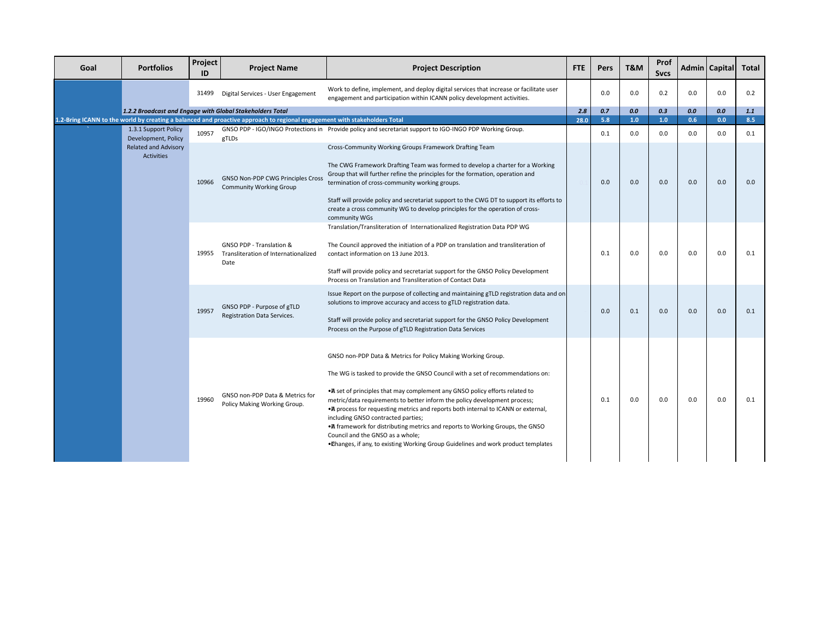| Goal | <b>Portfolios</b>                           | Project<br>ID | <b>Project Name</b>                                                                                                       | <b>Project Description</b>                                                                                                                                                                                                                                                                                                                                                                                                                                                                                                                                                                                                                          | <b>FTE</b>                                                               | Pers                                                                                                                                                                                                                                                                                                                                                       | T&M | Prof<br><b>Sycs</b> |     | <b>Admin</b> Capital | Total |     |     |
|------|---------------------------------------------|---------------|---------------------------------------------------------------------------------------------------------------------------|-----------------------------------------------------------------------------------------------------------------------------------------------------------------------------------------------------------------------------------------------------------------------------------------------------------------------------------------------------------------------------------------------------------------------------------------------------------------------------------------------------------------------------------------------------------------------------------------------------------------------------------------------------|--------------------------------------------------------------------------|------------------------------------------------------------------------------------------------------------------------------------------------------------------------------------------------------------------------------------------------------------------------------------------------------------------------------------------------------------|-----|---------------------|-----|----------------------|-------|-----|-----|
|      |                                             | 31499         | Digital Services - User Engagement                                                                                        | Work to define, implement, and deploy digital services that increase or facilitate user<br>engagement and participation within ICANN policy development activities.                                                                                                                                                                                                                                                                                                                                                                                                                                                                                 |                                                                          | 0.0                                                                                                                                                                                                                                                                                                                                                        | 0.0 | 0.2                 | 0.0 | 0.0                  | 0.2   |     |     |
|      |                                             |               | 1.2.2 Broadcast and Engage with Global Stakeholders Total                                                                 |                                                                                                                                                                                                                                                                                                                                                                                                                                                                                                                                                                                                                                                     | 2.8                                                                      | 0.7                                                                                                                                                                                                                                                                                                                                                        | 0.0 | 0.3                 | 0.0 | 0.0                  | 1.1   |     |     |
|      |                                             |               | 1.2-Bring ICANN to the world by creating a balanced and proactive approach to regional engagement with stakeholders Total |                                                                                                                                                                                                                                                                                                                                                                                                                                                                                                                                                                                                                                                     | 28.0                                                                     | 5.8                                                                                                                                                                                                                                                                                                                                                        | 1.0 | 1.0                 | 0.6 | 0.0                  | 8.5   |     |     |
|      | 1.3.1 Support Policy<br>Development, Policy | 10957         | gTLDs                                                                                                                     | GNSO PDP - IGO/INGO Protections in Provide policy and secretariat support to IGO-INGO PDP Working Group.                                                                                                                                                                                                                                                                                                                                                                                                                                                                                                                                            |                                                                          | 0.1                                                                                                                                                                                                                                                                                                                                                        | 0.0 | 0.0                 | 0.0 | 0.0                  | 0.1   |     |     |
|      | Related and Advisory<br><b>Activities</b>   | 10966         | <b>GNSO Non-PDP CWG Principles Cross</b><br><b>Community Working Group</b>                                                | Cross-Community Working Groups Framework Drafting Team<br>The CWG Framework Drafting Team was formed to develop a charter for a Working<br>Group that will further refine the principles for the formation, operation and<br>termination of cross-community working groups.<br>Staff will provide policy and secretariat support to the CWG DT to support its efforts to<br>create a cross community WG to develop principles for the operation of cross-<br>community WGs                                                                                                                                                                          |                                                                          | 0.0                                                                                                                                                                                                                                                                                                                                                        | 0.0 | 0.0                 | 0.0 | 0.0                  | 0.0   |     |     |
|      |                                             |               |                                                                                                                           | 19955                                                                                                                                                                                                                                                                                                                                                                                                                                                                                                                                                                                                                                               | GNSO PDP - Translation &<br>Transliteration of Internationalized<br>Date | Translation/Transliteration of Internationalized Registration Data PDP WG<br>The Council approved the initiation of a PDP on translation and transliteration of<br>contact information on 13 June 2013.<br>Staff will provide policy and secretariat support for the GNSO Policy Development<br>Process on Translation and Transliteration of Contact Data |     | 0.1                 | 0.0 | 0.0                  | 0.0   | 0.0 | 0.1 |
|      |                                             |               |                                                                                                                           | 19957                                                                                                                                                                                                                                                                                                                                                                                                                                                                                                                                                                                                                                               | GNSO PDP - Purpose of gTLD<br>Registration Data Services.                | Issue Report on the purpose of collecting and maintaining gTLD registration data and on<br>solutions to improve accuracy and access to gTLD registration data.<br>Staff will provide policy and secretariat support for the GNSO Policy Development<br>Process on the Purpose of gTLD Registration Data Services                                           |     | 0.0                 | 0.1 | 0.0                  | 0.0   | 0.0 | 0.1 |
|      |                                             | 19960         | GNSO non-PDP Data & Metrics for<br>Policy Making Working Group.                                                           | GNSO non-PDP Data & Metrics for Policy Making Working Group.<br>The WG is tasked to provide the GNSO Council with a set of recommendations on:<br>• A set of principles that may complement any GNSO policy efforts related to<br>metric/data requirements to better inform the policy development process;<br>• A process for requesting metrics and reports both internal to ICANN or external,<br>including GNSO contracted parties;<br>• A framework for distributing metrics and reports to Working Groups, the GNSO<br>Council and the GNSO as a whole;<br>. Thanges, if any, to existing Working Group Guidelines and work product templates |                                                                          | 0.1                                                                                                                                                                                                                                                                                                                                                        | 0.0 | 0.0                 | 0.0 | 0.0                  | 0.1   |     |     |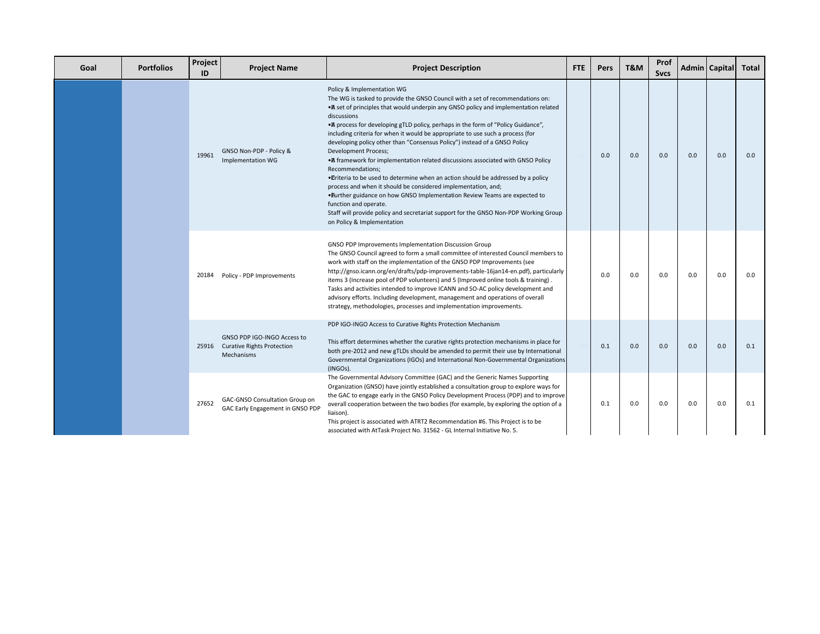| Goal | <b>Portfolios</b> | Project<br>ID | <b>Project Name</b>                                                           | <b>Project Description</b>                                                                                                                                                                                                                                                                                                                                                                                                                                                                                                                                                                                                                                                                                                                                                                                                                                                                                                                                                                        | <b>FTE</b> | Pers | T&M | Prof<br><b>Svcs</b> | Admin   Capital |     | <b>Total</b> |
|------|-------------------|---------------|-------------------------------------------------------------------------------|---------------------------------------------------------------------------------------------------------------------------------------------------------------------------------------------------------------------------------------------------------------------------------------------------------------------------------------------------------------------------------------------------------------------------------------------------------------------------------------------------------------------------------------------------------------------------------------------------------------------------------------------------------------------------------------------------------------------------------------------------------------------------------------------------------------------------------------------------------------------------------------------------------------------------------------------------------------------------------------------------|------------|------|-----|---------------------|-----------------|-----|--------------|
|      |                   | 19961         | GNSO Non-PDP - Policy &<br>Implementation WG                                  | Policy & Implementation WG<br>The WG is tasked to provide the GNSO Council with a set of recommendations on:<br>• A set of principles that would underpin any GNSO policy and implementation related<br>discussions<br>• A process for developing gTLD policy, perhaps in the form of "Policy Guidance",<br>including criteria for when it would be appropriate to use such a process (for<br>developing policy other than "Consensus Policy") instead of a GNSO Policy<br><b>Development Process;</b><br>• A framework for implementation related discussions associated with GNSO Policy<br>Recommendations;<br>. Triteria to be used to determine when an action should be addressed by a policy<br>process and when it should be considered implementation, and;<br>. Eurther guidance on how GNSO Implementation Review Teams are expected to<br>function and operate.<br>Staff will provide policy and secretariat support for the GNSO Non-PDP Working Group<br>on Policy & Implementation |            | 0.0  | 0.0 | 0.0                 | 0.0             | 0.0 | 0.0          |
|      |                   | 20184         | Policy - PDP Improvements                                                     | GNSO PDP Improvements Implementation Discussion Group<br>The GNSO Council agreed to form a small committee of interested Council members to<br>work with staff on the implementation of the GNSO PDP Improvements (see<br>http://gnso.icann.org/en/drafts/pdp-improvements-table-16jan14-en.pdf), particularly<br>items 3 (Increase pool of PDP volunteers) and 5 (Improved online tools & training).<br>Tasks and activities intended to improve ICANN and SO-AC policy development and<br>advisory efforts. Including development, management and operations of overall<br>strategy, methodologies, processes and implementation improvements.                                                                                                                                                                                                                                                                                                                                                  |            | 0.0  | 0.0 | 0.0                 | 0.0             | 0.0 | 0.0          |
|      |                   |               | GNSO PDP IGO-INGO Access to<br>25916 Curative Rights Protection<br>Mechanisms | PDP IGO-INGO Access to Curative Rights Protection Mechanism<br>This effort determines whether the curative rights protection mechanisms in place for<br>both pre-2012 and new gTLDs should be amended to permit their use by International<br>Governmental Organizations (IGOs) and International Non-Governmental Organizations<br>(INGOs).                                                                                                                                                                                                                                                                                                                                                                                                                                                                                                                                                                                                                                                      |            | 0.1  | 0.0 | 0.0                 | 0.0             | 0.0 | 0.1          |
|      |                   | 27652         | GAC-GNSO Consultation Group on<br>GAC Early Engagement in GNSO PDP            | The Governmental Advisory Committee (GAC) and the Generic Names Supporting<br>Organization (GNSO) have jointly established a consultation group to explore ways for<br>the GAC to engage early in the GNSO Policy Development Process (PDP) and to improve<br>overall cooperation between the two bodies (for example, by exploring the option of a<br>liaison).<br>This project is associated with ATRT2 Recommendation #6. This Project is to be<br>associated with AtTask Project No. 31562 - GL Internal Initiative No. 5.                                                                                                                                                                                                                                                                                                                                                                                                                                                                    |            | 0.1  | 0.0 | 0.0                 | 0.0             | 0.0 | 0.1          |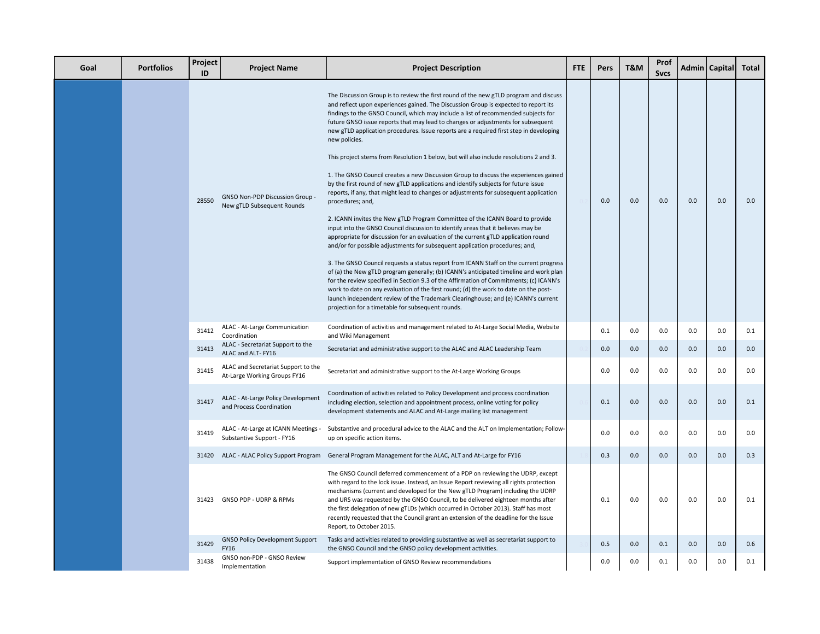| Goal | <b>Portfolios</b> | Project<br>ID | <b>Project Name</b>                                                 | <b>Project Description</b>                                                                                                                                                                                                                                                                                                                                                                                                                                                                                                                                                                                                                                                                                                                                                                                                                                                                                                                                                                                                                                                                                                                                                                                                                                                                                                                                                                                                                                                                                                                                                                                                                                                                                     | <b>FTE</b> | Pers | T&M | Prof<br><b>Sycs</b> |     | Admin   Capital | Total |
|------|-------------------|---------------|---------------------------------------------------------------------|----------------------------------------------------------------------------------------------------------------------------------------------------------------------------------------------------------------------------------------------------------------------------------------------------------------------------------------------------------------------------------------------------------------------------------------------------------------------------------------------------------------------------------------------------------------------------------------------------------------------------------------------------------------------------------------------------------------------------------------------------------------------------------------------------------------------------------------------------------------------------------------------------------------------------------------------------------------------------------------------------------------------------------------------------------------------------------------------------------------------------------------------------------------------------------------------------------------------------------------------------------------------------------------------------------------------------------------------------------------------------------------------------------------------------------------------------------------------------------------------------------------------------------------------------------------------------------------------------------------------------------------------------------------------------------------------------------------|------------|------|-----|---------------------|-----|-----------------|-------|
|      |                   | 28550         | <b>GNSO Non-PDP Discussion Group</b><br>New gTLD Subsequent Rounds  | The Discussion Group is to review the first round of the new gTLD program and discuss<br>and reflect upon experiences gained. The Discussion Group is expected to report its<br>findings to the GNSO Council, which may include a list of recommended subjects for<br>future GNSO issue reports that may lead to changes or adjustments for subsequent<br>new gTLD application procedures. Issue reports are a required first step in developing<br>new policies.<br>This project stems from Resolution 1 below, but will also include resolutions 2 and 3.<br>1. The GNSO Council creates a new Discussion Group to discuss the experiences gained<br>by the first round of new gTLD applications and identify subjects for future issue<br>reports, if any, that might lead to changes or adjustments for subsequent application<br>procedures; and,<br>2. ICANN invites the New gTLD Program Committee of the ICANN Board to provide<br>input into the GNSO Council discussion to identify areas that it believes may be<br>appropriate for discussion for an evaluation of the current gTLD application round<br>and/or for possible adjustments for subsequent application procedures; and,<br>3. The GNSO Council requests a status report from ICANN Staff on the current progress<br>of (a) the New gTLD program generally; (b) ICANN's anticipated timeline and work plan<br>for the review specified in Section 9.3 of the Affirmation of Commitments; (c) ICANN's<br>work to date on any evaluation of the first round; (d) the work to date on the post-<br>launch independent review of the Trademark Clearinghouse; and (e) ICANN's current<br>projection for a timetable for subsequent rounds. |            | 0.0  | 0.0 | 0.0                 | 0.0 | 0.0             | 0.0   |
|      |                   | 31412         | ALAC - At-Large Communication<br>Coordination                       | Coordination of activities and management related to At-Large Social Media, Website<br>and Wiki Management                                                                                                                                                                                                                                                                                                                                                                                                                                                                                                                                                                                                                                                                                                                                                                                                                                                                                                                                                                                                                                                                                                                                                                                                                                                                                                                                                                                                                                                                                                                                                                                                     |            | 0.1  | 0.0 | 0.0                 | 0.0 | 0.0             | 0.1   |
|      |                   | 31413         | ALAC - Secretariat Support to the<br>ALAC and ALT-FY16              | Secretariat and administrative support to the ALAC and ALAC Leadership Team                                                                                                                                                                                                                                                                                                                                                                                                                                                                                                                                                                                                                                                                                                                                                                                                                                                                                                                                                                                                                                                                                                                                                                                                                                                                                                                                                                                                                                                                                                                                                                                                                                    |            | 0.0  | 0.0 | 0.0                 | 0.0 | 0.0             | 0.0   |
|      |                   | 31415         | ALAC and Secretariat Support to the<br>At-Large Working Groups FY16 | Secretariat and administrative support to the At-Large Working Groups                                                                                                                                                                                                                                                                                                                                                                                                                                                                                                                                                                                                                                                                                                                                                                                                                                                                                                                                                                                                                                                                                                                                                                                                                                                                                                                                                                                                                                                                                                                                                                                                                                          |            | 0.0  | 0.0 | 0.0                 | 0.0 | 0.0             | 0.0   |
|      |                   | 31417         | ALAC - At-Large Policy Development<br>and Process Coordination      | Coordination of activities related to Policy Development and process coordination<br>including election, selection and appointment process, online voting for policy<br>development statements and ALAC and At-Large mailing list management                                                                                                                                                                                                                                                                                                                                                                                                                                                                                                                                                                                                                                                                                                                                                                                                                                                                                                                                                                                                                                                                                                                                                                                                                                                                                                                                                                                                                                                                   |            | 0.1  | 0.0 | 0.0                 | 0.0 | 0.0             | 0.1   |
|      |                   | 31419         | ALAC - At-Large at ICANN Meetings -<br>Substantive Support - FY16   | Substantive and procedural advice to the ALAC and the ALT on Implementation; Follow-<br>up on specific action items.                                                                                                                                                                                                                                                                                                                                                                                                                                                                                                                                                                                                                                                                                                                                                                                                                                                                                                                                                                                                                                                                                                                                                                                                                                                                                                                                                                                                                                                                                                                                                                                           |            | 0.0  | 0.0 | 0.0                 | 0.0 | 0.0             | 0.0   |
|      |                   |               |                                                                     | 31420 ALAC - ALAC Policy Support Program General Program Management for the ALAC, ALT and At-Large for FY16                                                                                                                                                                                                                                                                                                                                                                                                                                                                                                                                                                                                                                                                                                                                                                                                                                                                                                                                                                                                                                                                                                                                                                                                                                                                                                                                                                                                                                                                                                                                                                                                    |            | 0.3  | 0.0 | 0.0                 | 0.0 | 0.0             | 0.3   |
|      |                   | 31423         | GNSO PDP - UDRP & RPMs                                              | The GNSO Council deferred commencement of a PDP on reviewing the UDRP, except<br>with regard to the lock issue. Instead, an Issue Report reviewing all rights protection<br>mechanisms (current and developed for the New gTLD Program) including the UDRP<br>and URS was requested by the GNSO Council, to be delivered eighteen months after<br>the first delegation of new gTLDs (which occurred in October 2013). Staff has most<br>recently requested that the Council grant an extension of the deadline for the Issue<br>Report, to October 2015.                                                                                                                                                                                                                                                                                                                                                                                                                                                                                                                                                                                                                                                                                                                                                                                                                                                                                                                                                                                                                                                                                                                                                       |            | 0.1  | 0.0 | 0.0                 | 0.0 | 0.0             | 0.1   |
|      |                   | 31429         | <b>GNSO Policy Development Support</b><br>FY16                      | Tasks and activities related to providing substantive as well as secretariat support to<br>the GNSO Council and the GNSO policy development activities.                                                                                                                                                                                                                                                                                                                                                                                                                                                                                                                                                                                                                                                                                                                                                                                                                                                                                                                                                                                                                                                                                                                                                                                                                                                                                                                                                                                                                                                                                                                                                        |            | 0.5  | 0.0 | 0.1                 | 0.0 | 0.0             | 0.6   |
|      |                   | 31438         | GNSO non-PDP - GNSO Review<br>Implementation                        | Support implementation of GNSO Review recommendations                                                                                                                                                                                                                                                                                                                                                                                                                                                                                                                                                                                                                                                                                                                                                                                                                                                                                                                                                                                                                                                                                                                                                                                                                                                                                                                                                                                                                                                                                                                                                                                                                                                          |            | 0.0  | 0.0 | 0.1                 | 0.0 | 0.0             | 0.1   |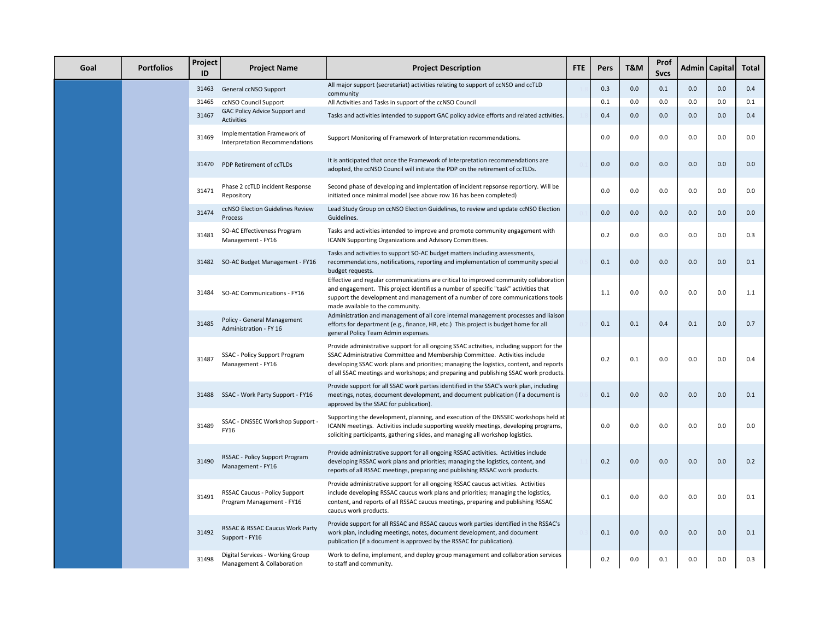| Goal | <b>Portfolios</b> | Project<br>ID | <b>Project Name</b>                                               | <b>Project Description</b>                                                                                                                                                                                                                                                                                                                                 | <b>FTE</b> | Pers | T&M | Prof<br><b>Sycs</b> |     | Admin   Capital | <b>Total</b> |
|------|-------------------|---------------|-------------------------------------------------------------------|------------------------------------------------------------------------------------------------------------------------------------------------------------------------------------------------------------------------------------------------------------------------------------------------------------------------------------------------------------|------------|------|-----|---------------------|-----|-----------------|--------------|
|      |                   | 31463         | General ccNSO Support                                             | All major support (secretariat) activities relating to support of ccNSO and ccTLD<br>community                                                                                                                                                                                                                                                             |            | 0.3  | 0.0 | 0.1                 | 0.0 | 0.0             | 0.4          |
|      |                   | 31465         | ccNSO Council Support                                             | All Activities and Tasks in support of the ccNSO Council                                                                                                                                                                                                                                                                                                   |            | 0.1  | 0.0 | 0.0                 | 0.0 | 0.0             | 0.1          |
|      |                   | 31467         | GAC Policy Advice Support and<br><b>Activities</b>                | Tasks and activities intended to support GAC policy advice efforts and related activities.                                                                                                                                                                                                                                                                 |            | 0.4  | 0.0 | 0.0                 | 0.0 | 0.0             | 0.4          |
|      |                   | 31469         | Implementation Framework of<br>Interpretation Recommendations     | Support Monitoring of Framework of Interpretation recommendations.                                                                                                                                                                                                                                                                                         |            | 0.0  | 0.0 | 0.0                 | 0.0 | 0.0             | 0.0          |
|      |                   | 31470         | PDP Retirement of ccTLDs                                          | It is anticipated that once the Framework of Interpretation recommendations are<br>adopted, the ccNSO Council will initiate the PDP on the retirement of ccTLDs.                                                                                                                                                                                           |            | 0.0  | 0.0 | 0.0                 | 0.0 | 0.0             | 0.0          |
|      |                   | 31471         | Phase 2 ccTLD incident Response<br>Repository                     | Second phase of developing and implentation of incident repsonse reportiory. Will be<br>initiated once minimal model (see above row 16 has been completed)                                                                                                                                                                                                 |            | 0.0  | 0.0 | 0.0                 | 0.0 | 0.0             | 0.0          |
|      |                   | 31474         | ccNSO Election Guidelines Review<br>Process                       | Lead Study Group on ccNSO Election Guidelines, to review and update ccNSO Election<br>Guidelines.                                                                                                                                                                                                                                                          |            | 0.0  | 0.0 | 0.0                 | 0.0 | 0.0             | 0.0          |
|      |                   | 31481         | SO-AC Effectiveness Program<br>Management - FY16                  | Tasks and activities intended to improve and promote community engagement with<br>ICANN Supporting Organizations and Advisory Committees.                                                                                                                                                                                                                  |            | 0.2  | 0.0 | 0.0                 | 0.0 | 0.0             | 0.3          |
|      |                   |               | 31482 SO-AC Budget Management - FY16                              | Tasks and activities to support SO-AC budget matters including assessments,<br>recommendations, notifications, reporting and implementation of community special<br>budget requests.                                                                                                                                                                       |            | 0.1  | 0.0 | 0.0                 | 0.0 | 0.0             | 0.1          |
|      |                   | 31484         | SO-AC Communications - FY16                                       | Effective and regular communications are critical to improved community collaboration<br>and engagement. This project identifies a number of specific "task" activities that<br>support the development and management of a number of core communications tools<br>made available to the community.                                                        |            | 1.1  | 0.0 | 0.0                 | 0.0 | 0.0             | 1.1          |
|      |                   | 31485         | Policy - General Management<br>Administration - FY 16             | Administration and management of all core internal management processes and liaison<br>efforts for department (e.g., finance, HR, etc.) This project is budget home for all<br>general Policy Team Admin expenses.                                                                                                                                         |            | 0.1  | 0.1 | 0.4                 | 0.1 | 0.0             | 0.7          |
|      |                   | 31487         | SSAC - Policy Support Program<br>Management - FY16                | Provide administrative support for all ongoing SSAC activities, including support for the<br>SSAC Administrative Committee and Membership Committee. Activities include<br>developing SSAC work plans and priorities; managing the logistics, content, and reports<br>of all SSAC meetings and workshops; and preparing and publishing SSAC work products. |            | 0.2  | 0.1 | $0.0\,$             | 0.0 | 0.0             | 0.4          |
|      |                   | 31488         | SSAC - Work Party Support - FY16                                  | Provide support for all SSAC work parties identified in the SSAC's work plan, including<br>meetings, notes, document development, and document publication (if a document is<br>approved by the SSAC for publication).                                                                                                                                     |            | 0.1  | 0.0 | 0.0                 | 0.0 | 0.0             | 0.1          |
|      |                   | 31489         | SSAC - DNSSEC Workshop Support -<br>FY16                          | Supporting the development, planning, and execution of the DNSSEC workshops held at<br>ICANN meetings. Activities include supporting weekly meetings, developing programs,<br>soliciting participants, gathering slides, and managing all workshop logistics.                                                                                              |            | 0.0  | 0.0 | 0.0                 | 0.0 | 0.0             | 0.0          |
|      |                   | 31490         | RSSAC - Policy Support Program<br>Management - FY16               | Provide administrative support for all ongoing RSSAC activities. Activities include<br>developing RSSAC work plans and priorities; managing the logistics, content, and<br>reports of all RSSAC meetings, preparing and publishing RSSAC work products.                                                                                                    |            | 0.2  | 0.0 | 0.0                 | 0.0 | 0.0             | 0.2          |
|      |                   | 31491         | <b>RSSAC Caucus - Policy Support</b><br>Program Management - FY16 | Provide administrative support for all ongoing RSSAC caucus activities. Activities<br>include developing RSSAC caucus work plans and priorities; managing the logistics,<br>content, and reports of all RSSAC caucus meetings, preparing and publishing RSSAC<br>caucus work products.                                                                     |            | 0.1  | 0.0 | 0.0                 | 0.0 | 0.0             | 0.1          |
|      |                   | 31492         | RSSAC & RSSAC Caucus Work Party<br>Support - FY16                 | Provide support for all RSSAC and RSSAC caucus work parties identified in the RSSAC's<br>work plan, including meetings, notes, document development, and document<br>publication (if a document is approved by the RSSAC for publication).                                                                                                                 |            | 0.1  | 0.0 | 0.0                 | 0.0 | 0.0             | 0.1          |
|      |                   | 31498         | Digital Services - Working Group<br>Management & Collaboration    | Work to define, implement, and deploy group management and collaboration services<br>to staff and community.                                                                                                                                                                                                                                               |            | 0.2  | 0.0 | 0.1                 | 0.0 | 0.0             | 0.3          |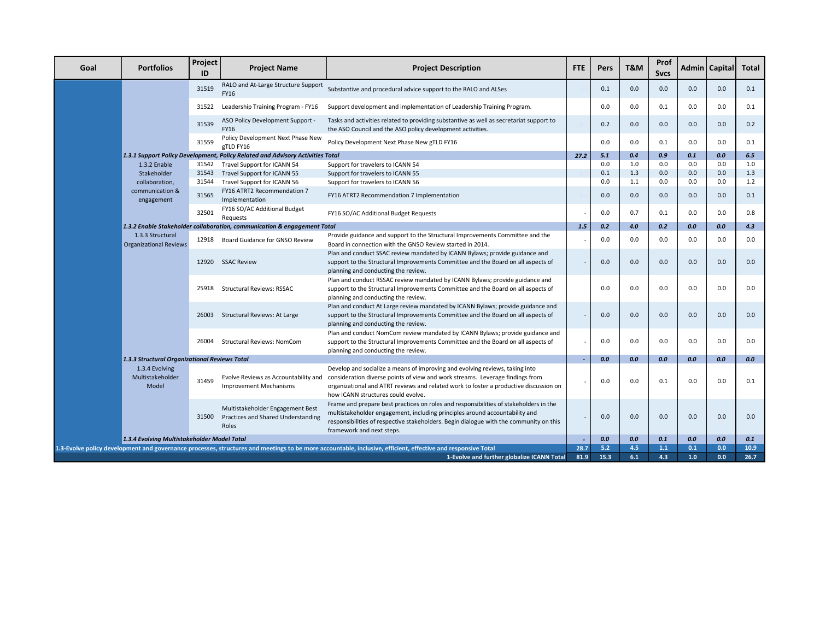| Goal | <b>Portfolios</b>                                                                                                                                            | Project<br>ID | <b>Project Name</b>                                                             | <b>Project Description</b>                                                                                                                                                                                                                                                                   | <b>FTE</b> | Pers       | T&M        | Prof<br><b>Sycs</b> |     | Admin   Capital | <b>Total</b> |
|------|--------------------------------------------------------------------------------------------------------------------------------------------------------------|---------------|---------------------------------------------------------------------------------|----------------------------------------------------------------------------------------------------------------------------------------------------------------------------------------------------------------------------------------------------------------------------------------------|------------|------------|------------|---------------------|-----|-----------------|--------------|
|      |                                                                                                                                                              | 31519         | RALO and At-Large Structure Support<br><b>FY16</b>                              | Substantive and procedural advice support to the RALO and ALSes                                                                                                                                                                                                                              |            | 0.1        | 0.0        | 0.0                 | 0.0 | 0.0             | 0.1          |
|      |                                                                                                                                                              | 31522         | Leadership Training Program - FY16                                              | Support development and implementation of Leadership Training Program.                                                                                                                                                                                                                       |            | 0.0        | 0.0        | 0.1                 | 0.0 | 0.0             | 0.1          |
|      |                                                                                                                                                              | 31539         | ASO Policy Development Support -<br><b>FY16</b>                                 | Tasks and activities related to providing substantive as well as secretariat support to<br>the ASO Council and the ASO policy development activities.                                                                                                                                        |            | 0.2        | 0.0        | 0.0                 | 0.0 | 0.0             | 0.2          |
|      |                                                                                                                                                              | 31559         | Policy Development Next Phase New<br>gTLD FY16                                  | Policy Development Next Phase New gTLD FY16                                                                                                                                                                                                                                                  |            | 0.0        | 0.0        | 0.1                 | 0.0 | 0.0             | 0.1          |
|      |                                                                                                                                                              |               | 1.3.1 Support Policy Development, Policy Related and Advisory Activities Total  |                                                                                                                                                                                                                                                                                              | 27.2       | 5.1        | 0.4        | 0.9                 | 0.1 | 0.0             | 6.5          |
|      | 1.3.2 Enable                                                                                                                                                 | 31542         | Travel Support for ICANN 54                                                     | Support for travelers to ICANN 54                                                                                                                                                                                                                                                            |            | 0.0        | 1.0        | 0.0                 | 0.0 | 0.0             | 1.0          |
|      | Stakeholder                                                                                                                                                  | 31543         | Travel Support for ICANN 55                                                     | Support for travelers to ICANN 55                                                                                                                                                                                                                                                            |            | 0.1        | 1.3        | 0.0                 | 0.0 | 0.0             | 1.3          |
|      | collaboration,                                                                                                                                               | 31544         | Travel Support for ICANN 56                                                     | Support for travelers to ICANN 56                                                                                                                                                                                                                                                            |            | 0.0        | 1.1        | 0.0                 | 0.0 | 0.0             | 1.2          |
|      | communication &<br>engagement                                                                                                                                | 31565         | FY16 ATRT2 Recommendation 7<br>Implementation                                   | FY16 ATRT2 Recommendation 7 Implementation                                                                                                                                                                                                                                                   |            | 0.0        | 0.0        | 0.0                 | 0.0 | 0.0             | 0.1          |
|      |                                                                                                                                                              | 32501         | FY16 SO/AC Additional Budget<br>Requests                                        | FY16 SO/AC Additional Budget Requests                                                                                                                                                                                                                                                        |            | 0.0        | 0.7        | 0.1                 | 0.0 | 0.0             | 0.8          |
|      |                                                                                                                                                              |               | 1.3.2 Enable Stakeholder collaboration, communication & engagement Total        |                                                                                                                                                                                                                                                                                              | 1.5        | 0.2        | 4.0        | 0.2                 | 0.0 | 0.0             | 4.3          |
|      | 1.3.3 Structural<br><b>Organizational Reviews</b>                                                                                                            |               | 12918 Board Guidance for GNSO Review                                            | Provide guidance and support to the Structural Improvements Committee and the<br>Board in connection with the GNSO Review started in 2014.                                                                                                                                                   |            | 0.0        | 0.0        | 0.0                 | 0.0 | 0.0             | 0.0          |
|      |                                                                                                                                                              |               | 12920 SSAC Review                                                               | Plan and conduct SSAC review mandated by ICANN Bylaws; provide guidance and<br>support to the Structural Improvements Committee and the Board on all aspects of<br>planning and conducting the review.                                                                                       |            | 0.0        | 0.0        | 0.0                 | 0.0 | 0.0             | 0.0          |
|      |                                                                                                                                                              | 25918         | <b>Structural Reviews: RSSAC</b>                                                | Plan and conduct RSSAC review mandated by ICANN Bylaws; provide guidance and<br>support to the Structural Improvements Committee and the Board on all aspects of<br>planning and conducting the review.                                                                                      |            | 0.0        | 0.0        | 0.0                 | 0.0 | 0.0             | 0.0          |
|      |                                                                                                                                                              | 26003         | <b>Structural Reviews: At Large</b>                                             | Plan and conduct At Large review mandated by ICANN Bylaws; provide guidance and<br>support to the Structural Improvements Committee and the Board on all aspects of<br>planning and conducting the review.                                                                                   |            | 0.0        | 0.0        | 0.0                 | 0.0 | 0.0             | 0.0          |
|      |                                                                                                                                                              | 26004         | <b>Structural Reviews: NomCom</b>                                               | Plan and conduct NomCom review mandated by ICANN Bylaws; provide guidance and<br>support to the Structural Improvements Committee and the Board on all aspects of<br>planning and conducting the review.                                                                                     |            | 0.0        | 0.0        | 0.0                 | 0.0 | 0.0             | 0.0          |
|      | 1.3.3 Structural Organizational Reviews Total                                                                                                                |               |                                                                                 |                                                                                                                                                                                                                                                                                              |            | 0.0        | 0.0        | 0.0                 | 0.0 | 0.0             | 0.0          |
|      | 1.3.4 Evolving<br>Multistakeholder<br>Model                                                                                                                  | 31459         | Evolve Reviews as Accountability and<br><b>Improvement Mechanisms</b>           | Develop and socialize a means of improving and evolving reviews, taking into<br>consideration diverse points of view and work streams. Leverage findings from<br>organizational and ATRT reviews and related work to foster a productive discussion on<br>how ICANN structures could evolve. |            | 0.0        | 0.0        | 0.1                 | 0.0 | 0.0             | 0.1          |
|      |                                                                                                                                                              | 31500         | Multistakeholder Engagement Best<br>Practices and Shared Understanding<br>Roles | Frame and prepare best practices on roles and responsibilities of stakeholders in the<br>multistakeholder engagement, including principles around accountability and<br>responsibilities of respective stakeholders. Begin dialogue with the community on this<br>framework and next steps.  |            | 0.0        | 0.0        | 0.0                 | 0.0 | 0.0             | 0.0          |
|      | 1.3.4 Evolving Multistakeholder Model Total                                                                                                                  |               |                                                                                 |                                                                                                                                                                                                                                                                                              | 28.7       | 0.0<br>5.2 | 0.0        | 0.1                 | 0.0 | 0.0             | 0.1          |
|      | 1.3-Evolve policy development and governance processes, structures and meetings to be more accountable, inclusive, efficient, effective and responsive Total |               |                                                                                 |                                                                                                                                                                                                                                                                                              |            |            | 4.5<br>6.1 | $1.1$               | 0.1 | 0.0             | 10.9         |
|      | 1-Evolve and further globalize ICANN Total                                                                                                                   |               |                                                                                 |                                                                                                                                                                                                                                                                                              |            |            |            | 4.3                 | 1.0 | 0.0             | 26.7         |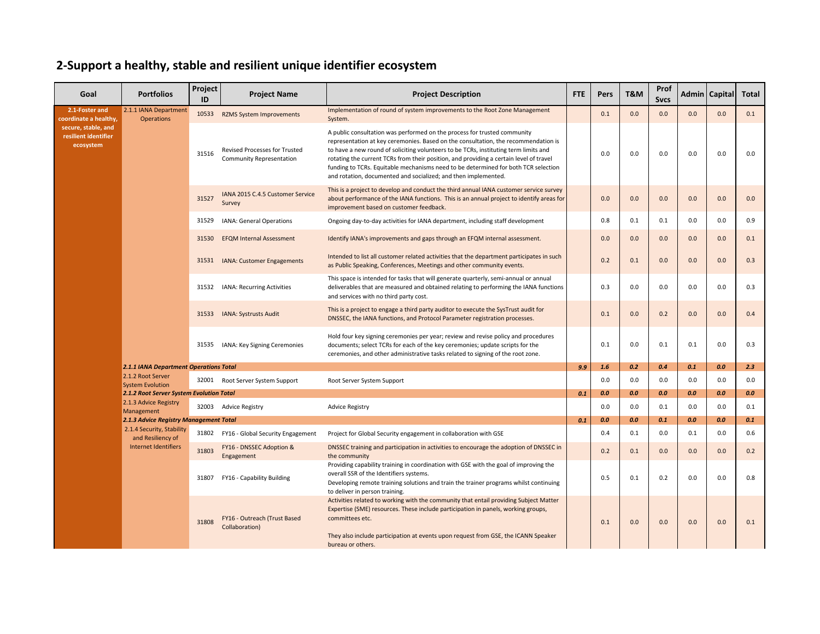## **2-Support a healthy, stable and resilient unique identifier ecosystem**

| Goal                                                     | <b>Portfolios</b>                               | Project<br>ID                                 | <b>Project Name</b>                                       | <b>Project Description</b>                                                                                                                                                                                                                                                                                                                                                                                                                                                                               | <b>FTE</b>                                                                                                                                                                                                                                                  | Pers | T&M | Prof<br><b>Sycs</b> |     | Admin   Capital | <b>Total</b> |     |
|----------------------------------------------------------|-------------------------------------------------|-----------------------------------------------|-----------------------------------------------------------|----------------------------------------------------------------------------------------------------------------------------------------------------------------------------------------------------------------------------------------------------------------------------------------------------------------------------------------------------------------------------------------------------------------------------------------------------------------------------------------------------------|-------------------------------------------------------------------------------------------------------------------------------------------------------------------------------------------------------------------------------------------------------------|------|-----|---------------------|-----|-----------------|--------------|-----|
| 2.1-Foster and<br>coordinate a healthy,                  | 2.1.1 IANA Department<br><b>Operations</b>      |                                               | 10533 RZMS System Improvements                            | Implementation of round of system improvements to the Root Zone Management<br>System.                                                                                                                                                                                                                                                                                                                                                                                                                    |                                                                                                                                                                                                                                                             | 0.1  | 0.0 | 0.0                 | 0.0 | 0.0             | 0.1          |     |
| secure, stable, and<br>resilient identifier<br>ecosystem |                                                 | 31516                                         | Revised Processes for Trusted<br>Community Representation | A public consultation was performed on the process for trusted community<br>representation at key ceremonies. Based on the consultation, the recommendation is<br>to have a new round of soliciting volunteers to be TCRs, instituting term limits and<br>rotating the current TCRs from their position, and providing a certain level of travel<br>funding to TCRs. Equitable mechanisms need to be determined for both TCR selection<br>and rotation, documented and socialized; and then implemented. |                                                                                                                                                                                                                                                             | 0.0  | 0.0 | 0.0                 | 0.0 | 0.0             | 0.0          |     |
|                                                          |                                                 | 31527                                         | IANA 2015 C.4.5 Customer Service<br>Survey                | This is a project to develop and conduct the third annual IANA customer service survey<br>about performance of the IANA functions. This is an annual project to identify areas for<br>improvement based on customer feedback.                                                                                                                                                                                                                                                                            |                                                                                                                                                                                                                                                             | 0.0  | 0.0 | 0.0                 | 0.0 | 0.0             | 0.0          |     |
|                                                          |                                                 | 31529                                         | <b>IANA: General Operations</b>                           | Ongoing day-to-day activities for IANA department, including staff development                                                                                                                                                                                                                                                                                                                                                                                                                           |                                                                                                                                                                                                                                                             | 0.8  | 0.1 | 0.1                 | 0.0 | 0.0             | 0.9          |     |
|                                                          |                                                 | 31530                                         | <b>EFQM Internal Assessment</b>                           | Identify IANA's improvements and gaps through an EFQM internal assessment.                                                                                                                                                                                                                                                                                                                                                                                                                               |                                                                                                                                                                                                                                                             | 0.0  | 0.0 | 0.0                 | 0.0 | 0.0             | 0.1          |     |
|                                                          |                                                 |                                               | 31531 IANA: Customer Engagements                          | Intended to list all customer related activities that the department participates in such<br>as Public Speaking, Conferences, Meetings and other community events.                                                                                                                                                                                                                                                                                                                                       |                                                                                                                                                                                                                                                             | 0.2  | 0.1 | 0.0                 | 0.0 | 0.0             | 0.3          |     |
|                                                          |                                                 | 31532                                         | IANA: Recurring Activities                                | This space is intended for tasks that will generate quarterly, semi-annual or annual<br>deliverables that are measured and obtained relating to performing the IANA functions<br>and services with no third party cost.                                                                                                                                                                                                                                                                                  |                                                                                                                                                                                                                                                             | 0.3  | 0.0 | 0.0                 | 0.0 | 0.0             | 0.3          |     |
|                                                          |                                                 | <b>2.1.1 IANA Department Operations Total</b> |                                                           | 31533 IANA: Systrusts Audit                                                                                                                                                                                                                                                                                                                                                                                                                                                                              | This is a project to engage a third party auditor to execute the SysTrust audit for<br>DNSSEC, the IANA functions, and Protocol Parameter registration processes.                                                                                           |      | 0.1 | 0.0                 | 0.2 | 0.0             | 0.0          | 0.4 |
|                                                          |                                                 |                                               | 31535                                                     | IANA: Key Signing Ceremonies                                                                                                                                                                                                                                                                                                                                                                                                                                                                             | Hold four key signing ceremonies per year; review and revise policy and procedures<br>documents; select TCRs for each of the key ceremonies; update scripts for the<br>ceremonies, and other administrative tasks related to signing of the root zone.      |      | 0.1 | 0.0                 | 0.1 | 0.1             | 0.0          | 0.3 |
|                                                          |                                                 |                                               |                                                           |                                                                                                                                                                                                                                                                                                                                                                                                                                                                                                          | 9.9                                                                                                                                                                                                                                                         | 1.6  | 0.2 | 0.4                 | 0.1 | 0.0             | 2.3          |     |
|                                                          | 2.1.2 Root Server<br><b>System Evolution</b>    |                                               | 32001 Root Server System Support                          | Root Server System Support                                                                                                                                                                                                                                                                                                                                                                                                                                                                               |                                                                                                                                                                                                                                                             | 0.0  | 0.0 | 0.0                 | 0.0 | 0.0             | 0.0          |     |
|                                                          | <b>2.1.2 Root Server System Evolution Total</b> |                                               |                                                           |                                                                                                                                                                                                                                                                                                                                                                                                                                                                                                          | 0.1                                                                                                                                                                                                                                                         | 0.0  | 0.0 | 0.0                 | 0.0 | 0.0             | 0.0          |     |
|                                                          | 2.1.3 Advice Registry<br>Management             |                                               | 32003 Advice Registry                                     | <b>Advice Registry</b>                                                                                                                                                                                                                                                                                                                                                                                                                                                                                   |                                                                                                                                                                                                                                                             | 0.0  | 0.0 | 0.1                 | 0.0 | 0.0             | 0.1          |     |
|                                                          | 2.1.3 Advice Registry Management Total          |                                               |                                                           |                                                                                                                                                                                                                                                                                                                                                                                                                                                                                                          | 0.1                                                                                                                                                                                                                                                         | 0.0  | 0.0 | 0.1                 | 0.0 | 0.0             | 0.1          |     |
|                                                          | 2.1.4 Security, Stability<br>and Resiliency of  | 31802                                         | FY16 - Global Security Engagement                         | Project for Global Security engagement in collaboration with GSE                                                                                                                                                                                                                                                                                                                                                                                                                                         |                                                                                                                                                                                                                                                             | 0.4  | 0.1 | 0.0                 | 0.1 | 0.0             | 0.6          |     |
|                                                          | <b>Internet Identifiers</b>                     | 31803                                         | FY16 - DNSSEC Adoption &<br>Engagement                    | DNSSEC training and participation in activities to encourage the adoption of DNSSEC in<br>the community                                                                                                                                                                                                                                                                                                                                                                                                  |                                                                                                                                                                                                                                                             | 0.2  | 0.1 | 0.0                 | 0.0 | 0.0             | 0.2          |     |
|                                                          |                                                 |                                               | 31807                                                     | FY16 - Capability Building                                                                                                                                                                                                                                                                                                                                                                                                                                                                               | Providing capability training in coordination with GSE with the goal of improving the<br>overall SSR of the Identifiers systems.<br>Developing remote training solutions and train the trainer programs whilst continuing<br>to deliver in person training. |      | 0.5 | 0.1                 | 0.2 | 0.0             | 0.0          | 0.8 |
|                                                          |                                                 | 31808                                         | FY16 - Outreach (Trust Based<br>Collaboration)            | Activities related to working with the community that entail providing Subject Matter<br>Expertise (SME) resources. These include participation in panels, working groups,<br>committees etc.<br>They also include participation at events upon request from GSE, the ICANN Speaker<br>bureau or others.                                                                                                                                                                                                 |                                                                                                                                                                                                                                                             | 0.1  | 0.0 | 0.0                 | 0.0 | 0.0             | 0.1          |     |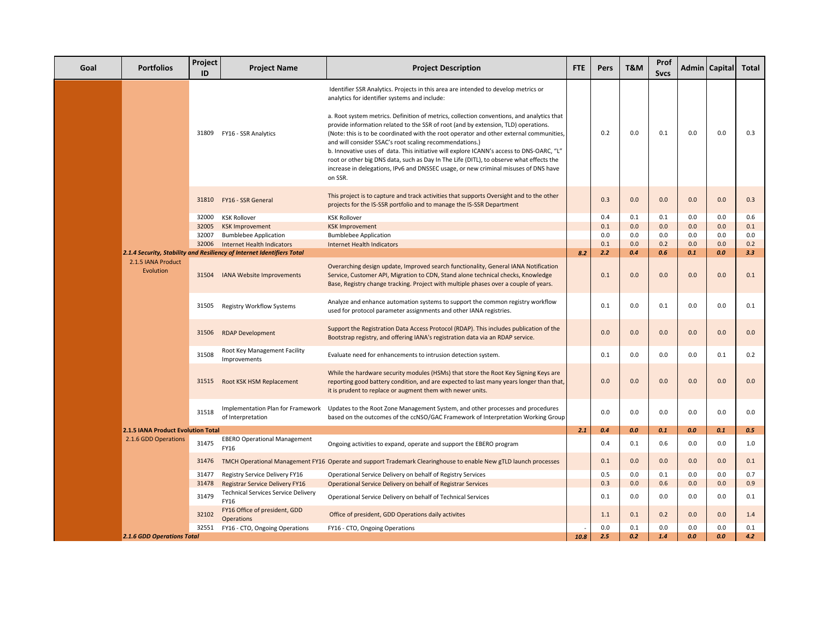| <b>Portfolios</b>                  | Project<br>ID | <b>Project Name</b>                                                    | <b>Project Description</b>                                                                                                                                                                                                                                                                                                                                                                                                                                                                                                                                                                                                     | FTE  | <b>Pers</b> | T&M        | Prof<br><b>Svcs</b> |            | Admin   Capital | Total      |
|------------------------------------|---------------|------------------------------------------------------------------------|--------------------------------------------------------------------------------------------------------------------------------------------------------------------------------------------------------------------------------------------------------------------------------------------------------------------------------------------------------------------------------------------------------------------------------------------------------------------------------------------------------------------------------------------------------------------------------------------------------------------------------|------|-------------|------------|---------------------|------------|-----------------|------------|
|                                    |               |                                                                        | Identifier SSR Analytics. Projects in this area are intended to develop metrics or<br>analytics for identifier systems and include:                                                                                                                                                                                                                                                                                                                                                                                                                                                                                            |      |             |            |                     |            |                 |            |
|                                    |               | 31809 FY16 - SSR Analytics                                             | a. Root system metrics. Definition of metrics, collection conventions, and analytics that<br>provide information related to the SSR of root (and by extension, TLD) operations.<br>(Note: this is to be coordinated with the root operator and other external communities,<br>and will consider SSAC's root scaling recommendations.)<br>b. Innovative uses of data. This initiative will explore ICANN's access to DNS-OARC, "L"<br>root or other big DNS data, such as Day In The Life (DITL), to observe what effects the<br>increase in delegations, IPv6 and DNSSEC usage, or new criminal misuses of DNS have<br>on SSR. |      | 0.2         | 0.0        | 0.1                 | 0.0        | 0.0             | 0.3        |
|                                    |               | 31810 FY16 - SSR General                                               | This project is to capture and track activities that supports Oversight and to the other<br>projects for the IS-SSR portfolio and to manage the IS-SSR Department                                                                                                                                                                                                                                                                                                                                                                                                                                                              |      | 0.3         | 0.0        | 0.0                 | 0.0        | 0.0             | 0.3        |
|                                    | 32000         | <b>KSK Rollover</b>                                                    | <b>KSK Rollover</b>                                                                                                                                                                                                                                                                                                                                                                                                                                                                                                                                                                                                            |      | 0.4         | 0.1        | 0.1                 | 0.0        | 0.0             | 0.6        |
|                                    | 32005         | <b>KSK Improvement</b>                                                 | <b>KSK Improvement</b>                                                                                                                                                                                                                                                                                                                                                                                                                                                                                                                                                                                                         |      | 0.1         | 0.0        | 0.0                 | 0.0        | 0.0             | 0.1        |
|                                    | 32007         | <b>Bumblebee Application</b>                                           | <b>Bumblebee Application</b>                                                                                                                                                                                                                                                                                                                                                                                                                                                                                                                                                                                                   |      | 0.0         | 0.0        | 0.0                 | 0.0        | 0.0             | 0.0        |
|                                    |               | 32006 Internet Health Indicators                                       | <b>Internet Health Indicators</b>                                                                                                                                                                                                                                                                                                                                                                                                                                                                                                                                                                                              |      | 0.1         | 0.0        | 0.2                 | 0.0        | 0.0             | 0.2        |
|                                    |               | 2.1.4 Security, Stability and Resiliency of Internet Identifiers Total |                                                                                                                                                                                                                                                                                                                                                                                                                                                                                                                                                                                                                                | 8.2  | 2.2         | 0.4        | 0.6                 | 0.1        | 0.0             | 3.3        |
| 2.1.5 IANA Product<br>Evolution    | 31504         | <b>IANA Website Improvements</b>                                       | Overarching design update, Improved search functionality, General IANA Notification<br>Service, Customer API, Migration to CDN, Stand alone technical checks, Knowledge<br>Base, Registry change tracking. Project with multiple phases over a couple of years.                                                                                                                                                                                                                                                                                                                                                                |      | 0.1         | 0.0        | 0.0                 | 0.0        | 0.0             | 0.1        |
|                                    | 31505         | <b>Registry Workflow Systems</b>                                       | Analyze and enhance automation systems to support the common registry workflow<br>used for protocol parameter assignments and other IANA registries.                                                                                                                                                                                                                                                                                                                                                                                                                                                                           |      | 0.1         | 0.0        | 0.1                 | 0.0        | 0.0             | 0.1        |
|                                    | 31506         | <b>RDAP Development</b>                                                | Support the Registration Data Access Protocol (RDAP). This includes publication of the<br>Bootstrap registry, and offering IANA's registration data via an RDAP service.                                                                                                                                                                                                                                                                                                                                                                                                                                                       |      | 0.0         | 0.0        | 0.0                 | 0.0        | 0.0             | 0.0        |
|                                    | 31508         | Root Key Management Facility<br>Improvements                           | Evaluate need for enhancements to intrusion detection system.                                                                                                                                                                                                                                                                                                                                                                                                                                                                                                                                                                  |      | 0.1         | 0.0        | 0.0                 | 0.0        | 0.1             | 0.2        |
|                                    |               | 31515 Root KSK HSM Replacement                                         | While the hardware security modules (HSMs) that store the Root Key Signing Keys are<br>reporting good battery condition, and are expected to last many years longer than that,<br>it is prudent to replace or augment them with newer units.                                                                                                                                                                                                                                                                                                                                                                                   |      | 0.0         | 0.0        | 0.0                 | 0.0        | 0.0             | 0.0        |
|                                    | 31518         | Implementation Plan for Framework<br>of Interpretation                 | Updates to the Root Zone Management System, and other processes and procedures<br>based on the outcomes of the ccNSO/GAC Framework of Interpretation Working Group                                                                                                                                                                                                                                                                                                                                                                                                                                                             |      | 0.0         | 0.0        | 0.0                 | 0.0        | 0.0             | 0.0        |
| 2.1.5 IANA Product Evolution Total |               |                                                                        |                                                                                                                                                                                                                                                                                                                                                                                                                                                                                                                                                                                                                                | 2.1  | 0.4         | 0.0        | 0.1                 | 0.0        | 0.1             | 0.5        |
| 2.1.6 GDD Operations               | 31475         | <b>EBERO Operational Management</b><br>FY16                            | Ongoing activities to expand, operate and support the EBERO program                                                                                                                                                                                                                                                                                                                                                                                                                                                                                                                                                            |      | 0.4         | 0.1        | 0.6                 | 0.0        | 0.0             | 1.0        |
|                                    | 31476         |                                                                        | TMCH Operational Management FY16 Operate and support Trademark Clearinghouse to enable New gTLD launch processes                                                                                                                                                                                                                                                                                                                                                                                                                                                                                                               |      | 0.1         | 0.0        | 0.0                 | 0.0        | 0.0             | 0.1        |
|                                    | 31477         | Registry Service Delivery FY16                                         | Operational Service Delivery on behalf of Registry Services                                                                                                                                                                                                                                                                                                                                                                                                                                                                                                                                                                    |      | 0.5         | 0.0        | 0.1                 | 0.0        | 0.0             | 0.7        |
|                                    | 31478         | Registrar Service Delivery FY16                                        | Operational Service Delivery on behalf of Registrar Services                                                                                                                                                                                                                                                                                                                                                                                                                                                                                                                                                                   |      | 0.3         | 0.0        | 0.6                 | 0.0        | 0.0             | 0.9        |
|                                    | 31479         | Technical Services Service Delivery<br>FY16                            | Operational Service Delivery on behalf of Technical Services                                                                                                                                                                                                                                                                                                                                                                                                                                                                                                                                                                   |      | 0.1         | 0.0        | 0.0                 | 0.0        | 0.0             | 0.1        |
|                                    | 32102         | FY16 Office of president, GDD<br><b>Operations</b>                     | Office of president, GDD Operations daily activites                                                                                                                                                                                                                                                                                                                                                                                                                                                                                                                                                                            |      | 1.1         | 0.1        | 0.2                 | 0.0        | 0.0             | 1.4        |
| <b>2.1.6 GDD Operations Total</b>  |               | 32551 FY16 - CTO, Ongoing Operations                                   | FY16 - CTO, Ongoing Operations                                                                                                                                                                                                                                                                                                                                                                                                                                                                                                                                                                                                 | 10.8 | 0.0<br>2.5  | 0.1<br>0.2 | 0.0<br>1.4          | 0.0<br>0.0 | 0.0<br>0.0      | 0.1<br>4.2 |
|                                    |               |                                                                        |                                                                                                                                                                                                                                                                                                                                                                                                                                                                                                                                                                                                                                |      |             |            |                     |            |                 |            |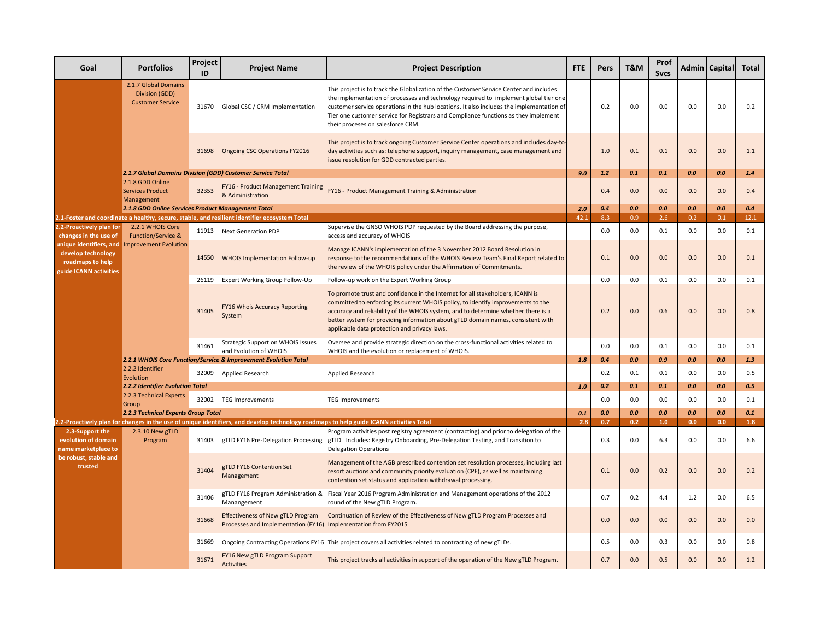| Goal                                                                                        | <b>Portfolios</b>                                                 | Project<br>ID | <b>Project Name</b>                                                                                 | <b>Project Description</b>                                                                                                                                                                                                                                                                                                                                                                             | <b>FTE</b>                                                                                                                                | Pers | T&M | Prof<br><b>Svcs</b> |     | Admin   Capital | <b>Total</b> |
|---------------------------------------------------------------------------------------------|-------------------------------------------------------------------|---------------|-----------------------------------------------------------------------------------------------------|--------------------------------------------------------------------------------------------------------------------------------------------------------------------------------------------------------------------------------------------------------------------------------------------------------------------------------------------------------------------------------------------------------|-------------------------------------------------------------------------------------------------------------------------------------------|------|-----|---------------------|-----|-----------------|--------------|
|                                                                                             | 2.1.7 Global Domains<br>Division (GDD)<br><b>Customer Service</b> |               | 31670 Global CSC / CRM Implementation                                                               | This project is to track the Globalization of the Customer Service Center and includes<br>the implementation of processes and technology required to implement global tier one<br>customer service operations in the hub locations. It also includes the implementation of<br>Tier one customer service for Registrars and Compliance functions as they implement<br>their proceses on salesforce CRM. |                                                                                                                                           | 0.2  | 0.0 | 0.0                 | 0.0 | 0.0             | 0.2          |
|                                                                                             |                                                                   |               | 31698 Ongoing CSC Operations FY2016                                                                 | This project is to track ongoing Customer Service Center operations and includes day-to-<br>day activities such as: telephone support, inquiry management, case management and<br>issue resolution for GDD contracted parties.                                                                                                                                                                         |                                                                                                                                           | 1.0  | 0.1 | 0.1                 | 0.0 | 0.0             | 1.1          |
|                                                                                             |                                                                   |               | 2.1.7 Global Domains Division (GDD) Customer Service Total                                          |                                                                                                                                                                                                                                                                                                                                                                                                        | 9.0                                                                                                                                       | 1.2  | 0.1 | 0.1                 | 0.0 | 0.0             | 1.4          |
|                                                                                             | 2.1.8 GDD Online<br><b>Services Product</b><br>Management         | 32353         | & Administration                                                                                    | FY16 - Product Management Training FY16 - Product Management Training & Administration                                                                                                                                                                                                                                                                                                                 |                                                                                                                                           | 0.4  | 0.0 | 0.0                 | 0.0 | 0.0             | 0.4          |
|                                                                                             | 2.1.8 GDD Online Services Product Management Total                |               |                                                                                                     |                                                                                                                                                                                                                                                                                                                                                                                                        | 2.0                                                                                                                                       | 0.4  | 0.0 | 0.0                 | 0.0 | 0.0             | 0.4          |
|                                                                                             |                                                                   |               | 2.1-Foster and coordinate a healthy, secure, stable, and resilient identifier ecosystem Total       |                                                                                                                                                                                                                                                                                                                                                                                                        | 42.1                                                                                                                                      | 8.3  | 0.9 | 2.6                 | 0.2 | 0.1             | 12.1         |
| 2.2-Proactively plan for<br>changes in the use of                                           | 2.2.1 WHOIS Core<br><b>Function/Service &amp;</b>                 |               | 11913 Next Generation PDP                                                                           | Supervise the GNSO WHOIS PDP requested by the Board addressing the purpose,<br>access and accuracy of WHOIS                                                                                                                                                                                                                                                                                            |                                                                                                                                           | 0.0  | 0.0 | 0.1                 | 0.0 | 0.0             | 0.1          |
| unique identifiers, and<br>develop technology<br>roadmaps to help<br>guide ICANN activities | <b>Improvement Evolution</b>                                      | 14550         | WHOIS Implementation Follow-up                                                                      | Manage ICANN's implementation of the 3 November 2012 Board Resolution in<br>response to the recommendations of the WHOIS Review Team's Final Report related to<br>the review of the WHOIS policy under the Affirmation of Commitments.                                                                                                                                                                 |                                                                                                                                           | 0.1  | 0.0 | 0.0                 | 0.0 | 0.0             | 0.1          |
|                                                                                             |                                                                   | 26119         | Expert Working Group Follow-Up                                                                      | Follow-up work on the Expert Working Group                                                                                                                                                                                                                                                                                                                                                             |                                                                                                                                           | 0.0  | 0.0 | 0.1                 | 0.0 | 0.0             | 0.1          |
|                                                                                             |                                                                   | 31405         | <b>FY16 Whois Accuracy Reporting</b><br>System                                                      | To promote trust and confidence in the Internet for all stakeholders, ICANN is<br>committed to enforcing its current WHOIS policy, to identify improvements to the<br>accuracy and reliability of the WHOIS system, and to determine whether there is a<br>better system for providing information about gTLD domain names, consistent with<br>applicable data protection and privacy laws.            |                                                                                                                                           | 0.2  | 0.0 | 0.6                 | 0.0 | 0.0             | 0.8          |
|                                                                                             |                                                                   |               | 31461                                                                                               | Strategic Support on WHOIS Issues<br>and Evolution of WHOIS                                                                                                                                                                                                                                                                                                                                            | Oversee and provide strategic direction on the cross-functional activities related to<br>WHOIS and the evolution or replacement of WHOIS. |      | 0.0 | 0.0                 | 0.1 | 0.0             | 0.0          |
|                                                                                             |                                                                   |               | 2.2.1 WHOIS Core Function/Service & Improvement Evolution Total                                     |                                                                                                                                                                                                                                                                                                                                                                                                        | 1.8                                                                                                                                       | 0.4  | 0.0 | 0.9                 | 0.0 | 0.0             | 1.3          |
|                                                                                             | 2.2.2 Identifier<br>Evolution                                     |               | 32009 Applied Research                                                                              | Applied Research                                                                                                                                                                                                                                                                                                                                                                                       |                                                                                                                                           | 0.2  | 0.1 | 0.1                 | 0.0 | 0.0             | 0.5          |
|                                                                                             | 2.2.2 Identifier Evolution Total                                  |               |                                                                                                     |                                                                                                                                                                                                                                                                                                                                                                                                        | 1.0                                                                                                                                       | 0.2  | 0.1 | 0.1                 | 0.0 | 0.0             | 0.5          |
|                                                                                             | 2.2.3 Technical Experts<br>Group                                  | 32002         | <b>TEG Improvements</b>                                                                             | <b>TEG Improvements</b>                                                                                                                                                                                                                                                                                                                                                                                |                                                                                                                                           | 0.0  | 0.0 | 0.0                 | 0.0 | 0.0             | 0.1          |
|                                                                                             | <b>2.2.3 Technical Experts Group Total</b>                        |               |                                                                                                     |                                                                                                                                                                                                                                                                                                                                                                                                        | 0.1                                                                                                                                       | 0.0  | 0.0 | 0.0                 | 0.0 | 0.0             | 0.1          |
|                                                                                             |                                                                   |               |                                                                                                     | 2.2-Proactively plan for changes in the use of unique identifiers, and develop technology roadmaps to help guide ICANN activities Total                                                                                                                                                                                                                                                                | 2.8                                                                                                                                       | 0.7  | 0.2 | 1.0                 | 0.0 | 0.0             | $1.8$        |
| 2.3-Support the<br>evolution of domain<br>name marketplace to                               | 2.3.10 New gTLD<br>Program                                        | 31403         | gTLD FY16 Pre-Delegation Processing                                                                 | Program activities post registry agreement (contracting) and prior to delegation of the<br>gTLD. Includes: Registry Onboarding, Pre-Delegation Testing, and Transition to<br><b>Delegation Operations</b>                                                                                                                                                                                              |                                                                                                                                           | 0.3  | 0.0 | 6.3                 | 0.0 | 0.0             | 6.6          |
| be robust, stable and<br>trusted                                                            |                                                                   | 31404         | gTLD FY16 Contention Set<br>Management                                                              | Management of the AGB prescribed contention set resolution processes, including last<br>resort auctions and community priority evaluation (CPE), as well as maintaining<br>contention set status and application withdrawal processing.                                                                                                                                                                |                                                                                                                                           | 0.1  | 0.0 | 0.2                 | 0.0 | 0.0             | 0.2          |
|                                                                                             |                                                                   | 31406         | Manangement                                                                                         | gTLD FY16 Program Administration & Fiscal Year 2016 Program Administration and Management operations of the 2012<br>round of the New gTLD Program.                                                                                                                                                                                                                                                     |                                                                                                                                           | 0.7  | 0.2 | 4.4                 | 1.2 | 0.0             | 6.5          |
|                                                                                             |                                                                   | 31668         | Effectiveness of New gTLD Program<br>Processes and Implementation (FY16) Implementation from FY2015 | Continuation of Review of the Effectiveness of New gTLD Program Processes and                                                                                                                                                                                                                                                                                                                          |                                                                                                                                           | 0.0  | 0.0 | 0.0                 | 0.0 | 0.0             | 0.0          |
|                                                                                             |                                                                   | 31669         |                                                                                                     | Ongoing Contracting Operations FY16 This project covers all activities related to contracting of new gTLDs.                                                                                                                                                                                                                                                                                            |                                                                                                                                           | 0.5  | 0.0 | 0.3                 | 0.0 | 0.0             | 0.8          |
|                                                                                             |                                                                   | 31671         | FY16 New gTLD Program Support<br>Activities                                                         | This project tracks all activities in support of the operation of the New gTLD Program.                                                                                                                                                                                                                                                                                                                |                                                                                                                                           | 0.7  | 0.0 | 0.5                 | 0.0 | 0.0             | 1.2          |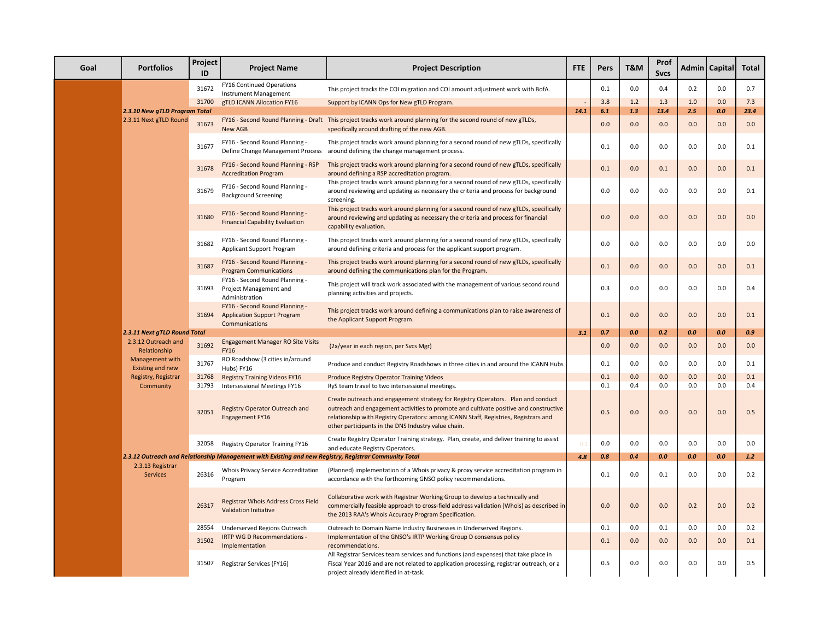| Goal | <b>Portfolios</b>                   | Project<br>ID  | <b>Project Name</b>                                                                                   | <b>Project Description</b>                                                                                                                                                                                                                                                                                                                                                 | <b>FTE</b> | Pers       | <b>T&amp;M</b> | Prof<br><b>Svcs</b> |            | Admin   Capital | Total       |
|------|-------------------------------------|----------------|-------------------------------------------------------------------------------------------------------|----------------------------------------------------------------------------------------------------------------------------------------------------------------------------------------------------------------------------------------------------------------------------------------------------------------------------------------------------------------------------|------------|------------|----------------|---------------------|------------|-----------------|-------------|
|      |                                     | 31672          | FY16 Continued Operations<br><b>Instrument Management</b>                                             | This project tracks the COI migration and COI amount adjustment work with BofA.                                                                                                                                                                                                                                                                                            |            | 0.1        | 0.0            | 0.4                 | 0.2        | 0.0             | 0.7         |
|      | 2.3.10 New gTLD Program Total       | 31700          | gTLD ICANN Allocation FY16                                                                            | Support by ICANN Ops for New gTLD Program.                                                                                                                                                                                                                                                                                                                                 | 14.1       | 3.8<br>6.1 | $1.2$<br>1.3   | 1.3<br>13.4         | 1.0<br>2.5 | 0.0<br>0.0      | 7.3<br>23.4 |
|      | 2.3.11 Next gTLD Round              | 31673          | New AGB                                                                                               | FY16 - Second Round Planning - Draft This project tracks work around planning for the second round of new gTLDs,<br>specifically around drafting of the new AGB.                                                                                                                                                                                                           |            | 0.0        | 0.0            | 0.0                 | 0.0        | 0.0             | 0.0         |
|      |                                     | 31677          | FY16 - Second Round Planning -<br>Define Change Management Process                                    | This project tracks work around planning for a second round of new gTLDs, specifically<br>around defining the change management process.                                                                                                                                                                                                                                   |            | 0.1        | 0.0            | 0.0                 | 0.0        | 0.0             | 0.1         |
|      |                                     | 31678          | FY16 - Second Round Planning - RSP<br><b>Accreditation Program</b>                                    | This project tracks work around planning for a second round of new gTLDs, specifically<br>around defining a RSP accreditation program.                                                                                                                                                                                                                                     |            | 0.1        | 0.0            | 0.1                 | 0.0        | 0.0             | 0.1         |
|      |                                     | 31679          | FY16 - Second Round Planning -<br><b>Background Screening</b>                                         | This project tracks work around planning for a second round of new gTLDs, specifically<br>around reviewing and updating as necessary the criteria and process for background<br>screening.                                                                                                                                                                                 |            | 0.0        | 0.0            | 0.0                 | 0.0        | 0.0             | 0.1         |
|      |                                     | 31680          | FY16 - Second Round Planning -<br><b>Financial Capability Evaluation</b>                              | This project tracks work around planning for a second round of new gTLDs, specifically<br>around reviewing and updating as necessary the criteria and process for financial<br>capability evaluation.                                                                                                                                                                      |            | 0.0        | 0.0            | 0.0                 | 0.0        | 0.0             | 0.0         |
|      |                                     | 31682          | FY16 - Second Round Planning -<br>Applicant Support Program                                           | This project tracks work around planning for a second round of new gTLDs, specifically<br>around defining criteria and process for the applicant support program.                                                                                                                                                                                                          |            | 0.0        | 0.0            | 0.0                 | 0.0        | 0.0             | 0.0         |
|      |                                     | 31687          | FY16 - Second Round Planning -<br><b>Program Communications</b>                                       | This project tracks work around planning for a second round of new gTLDs, specifically<br>around defining the communications plan for the Program.                                                                                                                                                                                                                         |            | 0.1        | 0.0            | 0.0                 | 0.0        | 0.0             | 0.1         |
|      |                                     | 31693          | FY16 - Second Round Planning -<br>Project Management and<br>Administration                            | This project will track work associated with the management of various second round<br>planning activities and projects.                                                                                                                                                                                                                                                   |            | 0.3        | 0.0            | 0.0                 | 0.0        | 0.0             | 0.4         |
|      |                                     | 31694          | FY16 - Second Round Planning -<br><b>Application Support Program</b><br>Communications                | This project tracks work around defining a communications plan to raise awareness of<br>the Applicant Support Program.                                                                                                                                                                                                                                                     |            | 0.1        | 0.0            | 0.0                 | 0.0        | 0.0             | 0.1         |
|      | 2.3.11 Next gTLD Round Total        |                |                                                                                                       |                                                                                                                                                                                                                                                                                                                                                                            | 3.1        | 0.7        | 0.0            | 0.2                 | 0.0        | 0.0             | 0.9         |
|      | 2.3.12 Outreach and<br>Relationship | 31692          | Engagement Manager RO Site Visits<br><b>FY16</b>                                                      | (2x/year in each region, per Svcs Mgr)                                                                                                                                                                                                                                                                                                                                     |            | 0.0        | 0.0            | 0.0                 | 0.0        | 0.0             | 0.0         |
|      | Management with<br>Existing and new | 31767          | RO Roadshow (3 cities in/around<br>Hubs) FY16                                                         | Produce and conduct Registry Roadshows in three cities in and around the ICANN Hubs                                                                                                                                                                                                                                                                                        |            | 0.1        | 0.0            | 0.0                 | 0.0        | 0.0             | 0.1         |
|      | Registry, Registrar                 | 31768          | <b>Registry Training Videos FY16</b>                                                                  | Produce Registry Operator Training Videos                                                                                                                                                                                                                                                                                                                                  |            | 0.1        | 0.0            | 0.0                 | 0.0        | 0.0             | 0.1<br>0.4  |
|      | Community                           | 31793<br>32051 | Intersessional Meetings FY16<br>Registry Operator Outreach and<br>Engagement FY16                     | RyS team travel to two intersessional meetings.<br>Create outreach and engagement strategy for Registry Operators. Plan and conduct<br>outreach and engagement activities to promote and cultivate positive and constructive<br>relationship with Registry Operators: among ICANN Staff, Registries, Registrars and<br>other participants in the DNS Industry value chain. |            | 0.1<br>0.5 | 0.4<br>0.0     | 0.0<br>0.0          | 0.0<br>0.0 | 0.0<br>0.0      | 0.5         |
|      |                                     | 32058          | Registry Operator Training FY16                                                                       | Create Registry Operator Training strategy. Plan, create, and deliver training to assist<br>and educate Registry Operators.                                                                                                                                                                                                                                                |            | 0.0        | 0.0            | 0.0                 | 0.0        | 0.0             | 0.0         |
|      |                                     |                | 2.3.12 Outreach and Relationship Management with Existing and new Registry, Registrar Community Total |                                                                                                                                                                                                                                                                                                                                                                            | 4.8        | 0.8        | 0.4            | 0.0                 | 0.0        | 0.0             | 1.2         |
|      | 2.3.13 Registrar<br><b>Services</b> | 26316          | Whois Privacy Service Accreditation<br>Program                                                        | (Planned) implementation of a Whois privacy & proxy service accreditation program in<br>accordance with the forthcoming GNSO policy recommendations.                                                                                                                                                                                                                       |            | 0.1        | 0.0            | 0.1                 | 0.0        | 0.0             | 0.2         |
|      |                                     | 26317          | <b>Registrar Whois Address Cross Field</b><br><b>Validation Initiative</b>                            | Collaborative work with Registrar Working Group to develop a technically and<br>commercially feasible approach to cross-field address validation (Whois) as described in<br>the 2013 RAA's Whois Accuracy Program Specification.                                                                                                                                           |            | 0.0        | 0.0            | 0.0                 | 0.2        | 0.0             | 0.2         |
|      |                                     | 28554<br>31502 | Underserved Regions Outreach<br>IRTP WG D Recommendations -<br>Implementation                         | Outreach to Domain Name Industry Businesses in Underserved Regions.<br>Implementation of the GNSO's IRTP Working Group D consensus policy<br>recommendations.                                                                                                                                                                                                              |            | 0.1<br>0.1 | 0.0<br>0.0     | 0.1<br>0.0          | 0.0<br>0.0 | 0.0<br>0.0      | 0.2<br>0.1  |
|      |                                     | 31507          | Registrar Services (FY16)                                                                             | All Registrar Services team services and functions (and expenses) that take place in<br>Fiscal Year 2016 and are not related to application processing, registrar outreach, or a<br>project already identified in at-task.                                                                                                                                                 |            | 0.5        | 0.0            | 0.0                 | 0.0        | $0.0\,$         | 0.5         |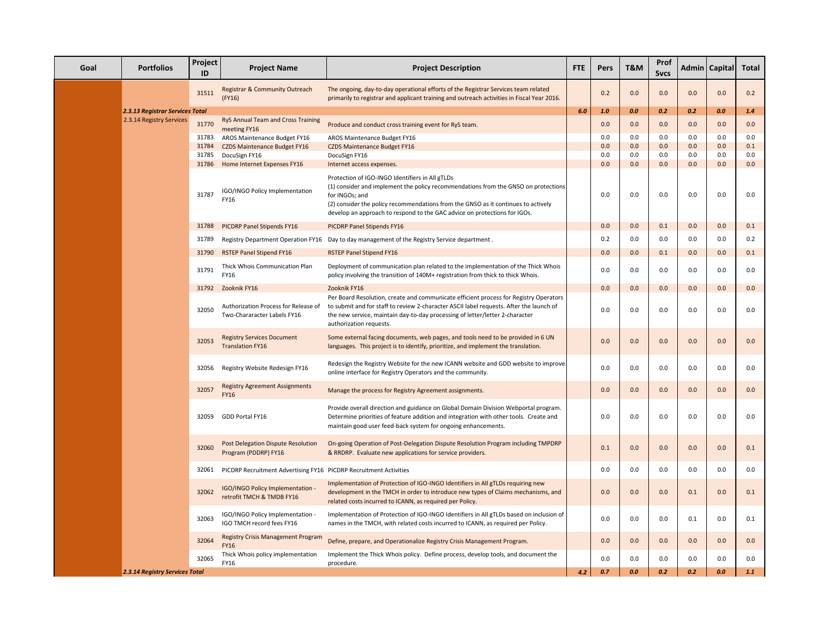| Goal | <b>Portfolios</b>               | Project<br>ID | <b>Project Name</b>                                                 | <b>Project Description</b>                                                                                                                                                                                                                                                                                                | <b>FTE</b> | Pers | T&M | Prof<br><b>Svcs</b> |     | Admin   Capital | Total |
|------|---------------------------------|---------------|---------------------------------------------------------------------|---------------------------------------------------------------------------------------------------------------------------------------------------------------------------------------------------------------------------------------------------------------------------------------------------------------------------|------------|------|-----|---------------------|-----|-----------------|-------|
|      |                                 | 31511         | Registrar & Community Outreach<br>(FY16)                            | The ongoing, day-to-day operational efforts of the Registrar Services team related<br>primarily to registrar and applicant training and outreach activities in Fiscal Year 2016.                                                                                                                                          |            | 0.2  | 0.0 | 0.0                 | 0.0 | 0.0             | 0.2   |
|      | 2.3.13 Registrar Services Total |               |                                                                     |                                                                                                                                                                                                                                                                                                                           | 6.0        | 1.0  | 0.0 | 0.2                 | 0.2 | 0.0             | 1.4   |
|      | 2.3.14 Registry Services        | 31770         | RyS Annual Team and Cross Training<br>meeting FY16                  | Produce and conduct cross training event for RyS team.                                                                                                                                                                                                                                                                    |            | 0.0  | 0.0 | 0.0                 | 0.0 | 0.0             | 0.0   |
|      |                                 | 31783         | AROS Maintenance Budget FY16                                        | AROS Maintenance Budget FY16                                                                                                                                                                                                                                                                                              |            | 0.0  | 0.0 | 0.0                 | 0.0 | 0.0             | 0.0   |
|      |                                 | 31784         | <b>CZDS Maintenance Budget FY16</b>                                 | <b>CZDS Maintenance Budget FY16</b>                                                                                                                                                                                                                                                                                       |            | 0.0  | 0.0 | 0.0                 | 0.0 | 0.0             | 0.1   |
|      |                                 | 31785         | DocuSign FY16                                                       | DocuSign FY16                                                                                                                                                                                                                                                                                                             |            | 0.0  | 0.0 | 0.0                 | 0.0 | 0.0             | 0.0   |
|      |                                 | 31786         | Home Internet Expenses FY16                                         | Internet access expenses.                                                                                                                                                                                                                                                                                                 |            | 0.0  | 0.0 | 0.0                 | 0.0 | 0.0             | 0.0   |
|      |                                 | 31787         | IGO/INGO Policy Implementation<br>FY16                              | Protection of IGO-INGO Identifiers in All gTLDs<br>(1) consider and implement the policy recommendations from the GNSO on protections<br>for INGOs; and<br>(2) consider the policy recommendations from the GNSO as it continues to actively<br>develop an approach to respond to the GAC advice on protections for IGOs. |            | 0.0  | 0.0 | 0.0                 | 0.0 | 0.0             | 0.0   |
|      |                                 | 31788         | PICDRP Panel Stipends FY16                                          | PICDRP Panel Stipends FY16                                                                                                                                                                                                                                                                                                |            | 0.0  | 0.0 | 0.1                 | 0.0 | 0.0             | 0.1   |
|      |                                 | 31789         |                                                                     | Registry Department Operation FY16 Day to day management of the Registry Service department.                                                                                                                                                                                                                              |            | 0.2  | 0.0 | 0.0                 | 0.0 | 0.0             | 0.2   |
|      |                                 | 31790         | <b>RSTEP Panel Stipend FY16</b>                                     | <b>RSTEP Panel Stipend FY16</b>                                                                                                                                                                                                                                                                                           |            | 0.0  | 0.0 | 0.1                 | 0.0 | 0.0             | 0.1   |
|      |                                 | 31791         | Thick Whois Communication Plan<br>FY16                              | Deployment of communication plan related to the implementation of the Thick Whois<br>policy involving the transition of 140M+ registration from thick to thick Whois.                                                                                                                                                     |            | 0.0  | 0.0 | 0.0                 | 0.0 | 0.0             | 0.0   |
|      |                                 | 31792         | Zooknik FY16                                                        | Zooknik FY16                                                                                                                                                                                                                                                                                                              |            | 0.0  | 0.0 | 0.0                 | 0.0 | 0.0             | 0.0   |
|      |                                 | 32050         | Authorization Process for Release of<br>Two-Chararacter Labels FY16 | Per Board Resolution, create and communicate efficient process for Registry Operators<br>to submit and for staff to review 2-character ASCII label requests. After the launch of<br>the new service, maintain day-to-day processing of letter/letter 2-character<br>authorization requests.                               |            | 0.0  | 0.0 | 0.0                 | 0.0 | 0.0             | 0.0   |
|      |                                 | 32053         | <b>Registry Services Document</b><br><b>Translation FY16</b>        | Some external facing documents, web pages, and tools need to be provided in 6 UN<br>languages. This project is to identify, prioritize, and implement the translation.                                                                                                                                                    |            | 0.0  | 0.0 | 0.0                 | 0.0 | 0.0             | 0.0   |
|      |                                 | 32056         | Registry Website Redesign FY16                                      | Redesign the Registry Website for the new ICANN website and GDD website to improve<br>online interface for Registry Operators and the community.                                                                                                                                                                          |            | 0.0  | 0.0 | 0.0                 | 0.0 | 0.0             | 0.0   |
|      |                                 | 32057         | <b>Registry Agreement Assignments</b><br><b>FY16</b>                | Manage the process for Registry Agreement assignments.                                                                                                                                                                                                                                                                    |            | 0.0  | 0.0 | 0.0                 | 0.0 | 0.0             | 0.0   |
|      |                                 | 32059         | GDD Portal FY16                                                     | Provide overall direction and guidance on Global Domain Division Webportal program.<br>Determine priorities of feature addition and integration with other tools. Create and<br>maintain good user feed-back system for ongoing enhancements.                                                                             |            | 0.0  | 0.0 | 0.0                 | 0.0 | $0.0\,$         | 0.0   |
|      |                                 | 32060         | Post Delegation Dispute Resolution<br>Program (PDDRP) FY16          | On-going Operation of Post-Delegation Dispute Resolution Program including TMPDRP<br>& RRDRP. Evaluate new applications for service providers.                                                                                                                                                                            |            | 0.1  | 0.0 | 0.0                 | 0.0 | 0.0             | 0.1   |
|      |                                 | 32061         | PICDRP Recruitment Advertising FY16 PICDRP Recruitment Activities   |                                                                                                                                                                                                                                                                                                                           |            | 0.0  | 0.0 | 0.0                 | 0.0 | 0.0             | 0.0   |
|      |                                 | 32062         | IGO/INGO Policy Implementation -<br>retrofit TMCH & TMDB FY16       | Implementation of Protection of IGO-INGO Identifiers in All gTLDs requiring new<br>development in the TMCH in order to introduce new types of Claims mechanisms, and<br>related costs incurred to ICANN, as required per Policy.                                                                                          |            | 0.0  | 0.0 | 0.0                 | 0.1 | 0.0             | 0.1   |
|      |                                 | 32063         | IGO/INGO Policy Implementation -<br>IGO TMCH record fees FY16       | Implementation of Protection of IGO-INGO Identifiers in All gTLDs based on inclusion of<br>names in the TMCH, with related costs incurred to ICANN, as required per Policy.                                                                                                                                               |            | 0.0  | 0.0 | 0.0                 | 0.1 | 0.0             | 0.1   |
|      |                                 | 32064         | <b>Registry Crisis Management Program</b><br><b>FY16</b>            | Define, prepare, and Operationalize Registry Crisis Management Program.                                                                                                                                                                                                                                                   |            | 0.0  | 0.0 | 0.0                 | 0.0 | 0.0             | 0.0   |
|      |                                 | 32065         | Thick Whois policy implementation<br>FY16                           | Implement the Thick Whois policy. Define process, develop tools, and document the<br>procedure.                                                                                                                                                                                                                           |            | 0.0  | 0.0 | 0.0                 | 0.0 | 0.0             | 0.0   |
|      | 2.3.14 Registry Services Total  |               |                                                                     |                                                                                                                                                                                                                                                                                                                           | 4.2        | 0.7  | 0.0 | 0.2                 | 0.2 | 0.0             | 1.1   |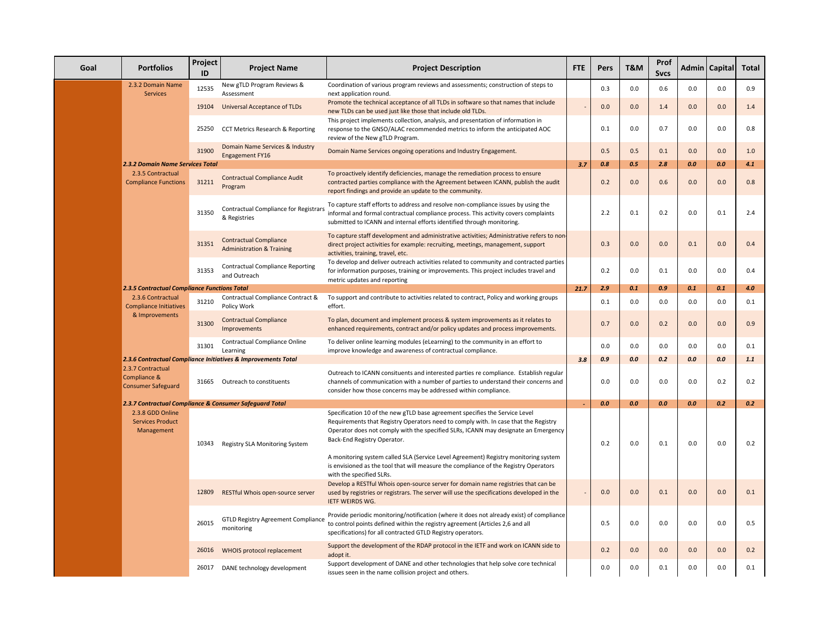| Goal | <b>Portfolios</b>                                              | Project<br>ID | <b>Project Name</b>                                                   | <b>Project Description</b>                                                                                                                                                                                                                                                              | <b>FTE</b> | Pers | <b>T&amp;M</b> | Prof<br><b>Sycs</b> |         | Admin   Capital | Total |
|------|----------------------------------------------------------------|---------------|-----------------------------------------------------------------------|-----------------------------------------------------------------------------------------------------------------------------------------------------------------------------------------------------------------------------------------------------------------------------------------|------------|------|----------------|---------------------|---------|-----------------|-------|
|      | 2.3.2 Domain Name<br><b>Services</b>                           | 12535         | New gTLD Program Reviews &<br>Assessment                              | Coordination of various program reviews and assessments; construction of steps to<br>next application round.                                                                                                                                                                            |            | 0.3  | 0.0            | 0.6                 | 0.0     | 0.0             | 0.9   |
|      |                                                                |               | 19104 Universal Acceptance of TLDs                                    | Promote the technical acceptance of all TLDs in software so that names that include<br>new TLDs can be used just like those that include old TLDs.                                                                                                                                      |            | 0.0  | 0.0            | 1.4                 | 0.0     | 0.0             | 1.4   |
|      |                                                                | 25250         | CCT Metrics Research & Reporting                                      | This project implements collection, analysis, and presentation of information in<br>response to the GNSO/ALAC recommended metrics to inform the anticipated AOC<br>review of the New gTLD Program.                                                                                      |            | 0.1  | 0.0            | 0.7                 | 0.0     | 0.0             | 0.8   |
|      |                                                                | 31900         | Domain Name Services & Industry<br>Engagement FY16                    | Domain Name Services ongoing operations and Industry Engagement.                                                                                                                                                                                                                        |            | 0.5  | 0.5            | 0.1                 | 0.0     | 0.0             | 1.0   |
|      | 2.3.2 Domain Name Services Total                               |               |                                                                       |                                                                                                                                                                                                                                                                                         | 3.7        | 0.8  | 0.5            | 2.8                 | 0.0     | 0.0             | 4.1   |
|      | 2.3.5 Contractual<br><b>Compliance Functions</b>               | 31211         | <b>Contractual Compliance Audit</b><br>Program                        | To proactively identify deficiencies, manage the remediation process to ensure<br>contracted parties compliance with the Agreement between ICANN, publish the audit<br>report findings and provide an update to the community.                                                          |            | 0.2  | 0.0            | 0.6                 | 0.0     | 0.0             | 0.8   |
|      |                                                                | 31350         | Contractual Compliance for Registrar<br>& Registries                  | To capture staff efforts to address and resolve non-compliance issues by using the<br>informal and formal contractual compliance process. This activity covers complaints<br>submitted to ICANN and internal efforts identified through monitoring.                                     |            | 2.2  | 0.1            | 0.2                 | 0.0     | 0.1             | 2.4   |
|      |                                                                | 31351         | <b>Contractual Compliance</b><br><b>Administration &amp; Training</b> | To capture staff development and administrative activities; Administrative refers to non<br>direct project activities for example: recruiting, meetings, management, support<br>activities, training, travel, etc.                                                                      |            | 0.3  | 0.0            | 0.0                 | 0.1     | 0.0             | 0.4   |
|      |                                                                | 31353         | <b>Contractual Compliance Reporting</b><br>and Outreach               | To develop and deliver outreach activities related to community and contracted parties<br>for information purposes, training or improvements. This project includes travel and<br>metric updates and reporting                                                                          |            | 0.2  | 0.0            | 0.1                 | 0.0     | 0.0             | 0.4   |
|      | <b>2.3.5 Contractual Compliance Functions Total</b>            |               |                                                                       |                                                                                                                                                                                                                                                                                         | 21.7       | 2.9  | 0.1            | 0.9                 | 0.1     | 0.1             | 4.0   |
|      | 2.3.6 Contractual<br><b>Compliance Initiatives</b>             | 31210         | Contractual Compliance Contract &<br>Policy Work                      | To support and contribute to activities related to contract, Policy and working groups<br>effort.                                                                                                                                                                                       |            | 0.1  | 0.0            | 0.0                 | 0.0     | 0.0             | 0.1   |
|      | & Improvements                                                 | 31300         | <b>Contractual Compliance</b><br>Improvements                         | To plan, document and implement process & system improvements as it relates to<br>enhanced requirements, contract and/or policy updates and process improvements.                                                                                                                       |            | 0.7  | 0.0            | 0.2                 | 0.0     | 0.0             | 0.9   |
|      |                                                                | 31301         | Contractual Compliance Online<br>Learning                             | To deliver online learning modules (eLearning) to the community in an effort to<br>improve knowledge and awareness of contractual compliance.                                                                                                                                           |            | 0.0  | 0.0            | 0.0                 | 0.0     | 0.0             | 0.1   |
|      |                                                                |               | 2.3.6 Contractual Compliance Initiatives & Improvements Total         |                                                                                                                                                                                                                                                                                         | 3.8        | 0.9  | 0.0            | 0.2                 | $0.0\,$ | 0.0             | 1.1   |
|      | 2.3.7 Contractual<br>Compliance &<br><b>Consumer Safeguard</b> |               | 31665 Outreach to constituents                                        | Outreach to ICANN consituents and interested parties re compliance. Establish regular<br>channels of communication with a number of parties to understand their concerns and<br>consider how those concerns may be addressed within compliance.                                         |            | 0.0  | 0.0            | 0.0                 | 0.0     | 0.2             | 0.2   |
|      |                                                                |               | 2.3.7 Contractual Compliance & Consumer Safeguard Total               |                                                                                                                                                                                                                                                                                         |            | 0.0  | 0.0            | 0.0                 | 0.0     | 0.2             | 0.2   |
|      | 2.3.8 GDD Online<br><b>Services Product</b><br>Management      |               | 10343 Registry SLA Monitoring System                                  | Specification 10 of the new gTLD base agreement specifies the Service Level<br>Requirements that Registry Operators need to comply with. In case that the Registry<br>Operator does not comply with the specified SLRs, ICANN may designate an Emergency<br>Back-End Registry Operator. |            | 0.2  | 0.0            | 0.1                 | 0.0     | $0.0\,$         | 0.2   |
|      |                                                                |               |                                                                       | A monitoring system called SLA (Service Level Agreement) Registry monitoring system<br>is envisioned as the tool that will measure the compliance of the Registry Operators<br>with the specified SLRs.                                                                                 |            |      |                |                     |         |                 |       |
|      |                                                                | 12809         | RESTful Whois open-source server                                      | Develop a RESTful Whois open-source server for domain name registries that can be<br>used by registries or registrars. The server will use the specifications developed in the<br><b>IETF WEIRDS WG.</b>                                                                                |            | 0.0  | 0.0            | 0.1                 | 0.0     | 0.0             | 0.1   |
|      |                                                                | 26015         | <b>GTLD Registry Agreement Compliance</b><br>monitoring               | Provide periodic monitoring/notification (where it does not already exist) of compliance<br>to control points defined within the registry agreement (Articles 2,6 and all<br>specifications) for all contracted GTLD Registry operators.                                                |            | 0.5  | 0.0            | 0.0                 | 0.0     | $0.0\,$         | 0.5   |
|      |                                                                | 26016         | WHOIS protocol replacement                                            | Support the development of the RDAP protocol in the IETF and work on ICANN side to<br>adopt it.                                                                                                                                                                                         |            | 0.2  | 0.0            | 0.0                 | 0.0     | 0.0             | 0.2   |
|      |                                                                |               | 26017 DANE technology development                                     | Support development of DANE and other technologies that help solve core technical<br>issues seen in the name collision project and others.                                                                                                                                              |            | 0.0  | 0.0            | 0.1                 | 0.0     | 0.0             | 0.1   |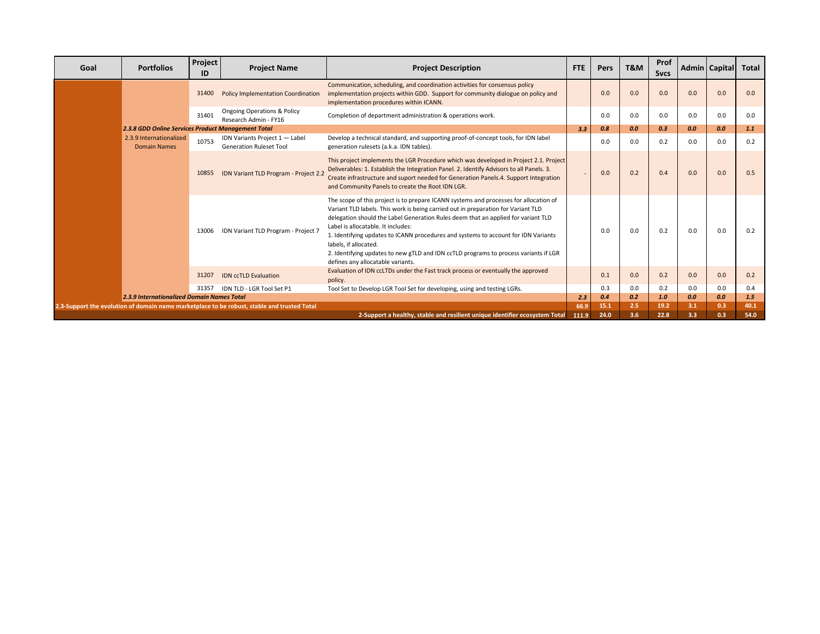| Goal | <b>Portfolios</b>                                                                           | Project<br>ID | <b>Project Name</b>                                              | <b>Project Description</b>                                                                                                                                                                                                                                                                                                                                                                                                                                                                                                                        | <b>FTE</b> | Pers | T&M | Prof<br><b>Sycs</b> |     | Admin   Capital | Total |
|------|---------------------------------------------------------------------------------------------|---------------|------------------------------------------------------------------|---------------------------------------------------------------------------------------------------------------------------------------------------------------------------------------------------------------------------------------------------------------------------------------------------------------------------------------------------------------------------------------------------------------------------------------------------------------------------------------------------------------------------------------------------|------------|------|-----|---------------------|-----|-----------------|-------|
|      |                                                                                             | 31400         | <b>Policy Implementation Coordination</b>                        | Communication, scheduling, and coordination activities for consensus policy<br>implementation projects within GDD. Support for community dialogue on policy and<br>implementation procedures within ICANN.                                                                                                                                                                                                                                                                                                                                        |            | 0.0  | 0.0 | 0.0                 | 0.0 | 0.0             | 0.0   |
|      |                                                                                             | 31401         | <b>Ongoing Operations &amp; Policy</b><br>Research Admin - FY16  | Completion of department administration & operations work.                                                                                                                                                                                                                                                                                                                                                                                                                                                                                        |            | 0.0  | 0.0 | 0.0                 | 0.0 | 0.0             | 0.0   |
|      | 2.3.8 GDD Online Services Product Management Total                                          |               |                                                                  |                                                                                                                                                                                                                                                                                                                                                                                                                                                                                                                                                   | 3.3        | 0.8  | 0.0 | 0.3                 | 0.0 | 0.0             | 1.1   |
|      | 2.3.9 Internationalized<br><b>Domain Names</b>                                              | 10753         | IDN Variants Project 1 - Label<br><b>Generation Ruleset Tool</b> | Develop a technical standard, and supporting proof-of-concept tools, for IDN label<br>generation rulesets (a.k.a. IDN tables).                                                                                                                                                                                                                                                                                                                                                                                                                    |            | 0.0  | 0.0 | 0.2                 | 0.0 | 0.0             | 0.2   |
|      |                                                                                             | 10855         | IDN Variant TLD Program - Project 2.                             | This project implements the LGR Procedure which was developed in Project 2.1. Project<br>Deliverables: 1. Establish the Integration Panel. 2. Identify Advisors to all Panels. 3.<br>Create infrastructure and suport needed for Generation Panels.4. Support Integration<br>and Community Panels to create the Root IDN LGR.                                                                                                                                                                                                                     |            | 0.0  | 0.2 | 0.4                 | 0.0 | 0.0             | 0.5   |
|      |                                                                                             | 13006         | IDN Variant TLD Program - Project 7                              | The scope of this project is to prepare ICANN systems and processes for allocation of<br>Variant TLD labels. This work is being carried out in preparation for Variant TLD<br>delegation should the Label Generation Rules deem that an applied for variant TLD<br>Label is allocatable. It includes:<br>1. Identifying updates to ICANN procedures and systems to account for IDN Variants<br>labels, if allocated.<br>2. Identifying updates to new gTLD and IDN ccTLD programs to process variants if LGR<br>defines any allocatable variants. |            | 0.0  | 0.0 | 0.2                 | 0.0 | 0.0             | 0.2   |
|      |                                                                                             | 31207         | <b>IDN ccTLD Evaluation</b>                                      | Evaluation of IDN ccLTDs under the Fast track process or eventually the approved<br>policy.                                                                                                                                                                                                                                                                                                                                                                                                                                                       |            | 0.1  | 0.0 | 0.2                 | 0.0 | 0.0             | 0.2   |
|      |                                                                                             | 31357         | IDN TLD - LGR Tool Set P1                                        | Tool Set to Develop LGR Tool Set for developing, using and testing LGRs.                                                                                                                                                                                                                                                                                                                                                                                                                                                                          |            | 0.3  | 0.0 | 0.2                 | 0.0 | 0.0             | 0.4   |
|      | <b>2.3.9 Internationalized Domain Names Total</b>                                           |               |                                                                  |                                                                                                                                                                                                                                                                                                                                                                                                                                                                                                                                                   | 2.3        | 0.4  | 0.2 | 1.0                 | 0.0 | 0.0             | 1.5   |
|      | 2.3-Support the evolution of domain name marketplace to be robust, stable and trusted Total |               |                                                                  |                                                                                                                                                                                                                                                                                                                                                                                                                                                                                                                                                   |            | 15.1 | 2.5 | 19.2                | 3.1 | 0.3             | 40.1  |
|      | 2-Support a healthy, stable and resilient unique identifier ecosystem Total                 |               |                                                                  |                                                                                                                                                                                                                                                                                                                                                                                                                                                                                                                                                   |            | 24.0 | 3.6 | 22.8                | 3.3 | 0.3             | 54.0  |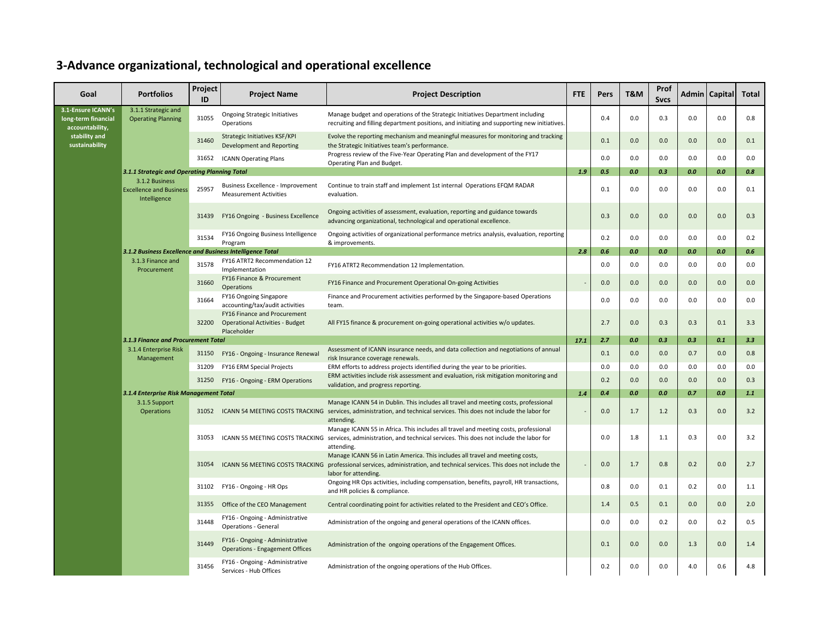## **3-Advance organizational, technological and operational excellence**

| Goal                                                         | <b>Portfolios</b>                                                | Project<br>ID | <b>Project Name</b>                                                                   | <b>Project Description</b>                                                                                                                                                                                                 | <b>FTE</b> | Pers | T&M | Prof<br><b>Sycs</b> |     | Admin   Capital | <b>Total</b> |
|--------------------------------------------------------------|------------------------------------------------------------------|---------------|---------------------------------------------------------------------------------------|----------------------------------------------------------------------------------------------------------------------------------------------------------------------------------------------------------------------------|------------|------|-----|---------------------|-----|-----------------|--------------|
| 3.1-Ensure ICANN's<br>long-term financial<br>accountability, | 3.1.1 Strategic and<br><b>Operating Planning</b>                 | 31055         | <b>Ongoing Strategic Initiatives</b><br>Operations                                    | Manage budget and operations of the Strategic Initiatives Department including<br>recruiting and filling department positions, and initiating and supporting new initiatives                                               |            | 0.4  | 0.0 | 0.3                 | 0.0 | 0.0             | 0.8          |
| stability and<br>sustainability                              |                                                                  | 31460         | Strategic Initiatives KSF/KPI<br>Development and Reporting                            | Evolve the reporting mechanism and meaningful measures for monitoring and tracking<br>the Strategic Initiatives team's performance.                                                                                        |            | 0.1  | 0.0 | 0.0                 | 0.0 | 0.0             | 0.1          |
|                                                              |                                                                  | 31652         | <b>ICANN Operating Plans</b>                                                          | Progress review of the Five-Year Operating Plan and development of the FY17<br>Operating Plan and Budget.                                                                                                                  |            | 0.0  | 0.0 | 0.0                 | 0.0 | 0.0             | 0.0          |
|                                                              | 3.1.1 Strategic and Operating Planning Total                     |               |                                                                                       |                                                                                                                                                                                                                            | 1.9        | 0.5  | 0.0 | 0.3                 | 0.0 | 0.0             | 0.8          |
|                                                              | 3.1.2 Business<br><b>Excellence and Business</b><br>Intelligence | 25957         | Business Excellence - Improvement<br><b>Measurement Activities</b>                    | Continue to train staff and implement 1st internal Operations EFQM RADAR<br>evaluation.                                                                                                                                    |            | 0.1  | 0.0 | 0.0                 | 0.0 | 0.0             | 0.1          |
|                                                              |                                                                  | 31439         | FY16 Ongoing - Business Excellence                                                    | Ongoing activities of assessment, evaluation, reporting and guidance towards<br>advancing organizational, technological and operational excellence.                                                                        |            | 0.3  | 0.0 | 0.0                 | 0.0 | 0.0             | 0.3          |
|                                                              |                                                                  | 31534         | FY16 Ongoing Business Intelligence<br>Program                                         | Ongoing activities of organizational performance metrics analysis, evaluation, reporting<br>& improvements.                                                                                                                |            | 0.2  | 0.0 | 0.0                 | 0.0 | 0.0             | 0.2          |
|                                                              | 3.1.2 Business Excellence and Business Intelligence Total        |               |                                                                                       |                                                                                                                                                                                                                            | 2.8        | 0.6  | 0.0 | 0.0                 | 0.0 | 0.0             | 0.6          |
|                                                              | 3.1.3 Finance and<br>Procurement                                 | 31578         | FY16 ATRT2 Recommendation 12<br>Implementation                                        | FY16 ATRT2 Recommendation 12 Implementation.                                                                                                                                                                               |            | 0.0  | 0.0 | 0.0                 | 0.0 | 0.0             | 0.0          |
|                                                              |                                                                  | 31660         | FY16 Finance & Procurement<br>Operations                                              | FY16 Finance and Procurement Operational On-going Activities                                                                                                                                                               |            | 0.0  | 0.0 | 0.0                 | 0.0 | 0.0             | 0.0          |
|                                                              |                                                                  | 31664         | FY16 Ongoing Singapore<br>accounting/tax/audit activities                             | Finance and Procurement activities performed by the Singapore-based Operations<br>team.                                                                                                                                    |            | 0.0  | 0.0 | 0.0                 | 0.0 | 0.0             | 0.0          |
|                                                              | 3.1.3 Finance and Procurement Total                              | 32200         | FY16 Finance and Procurement<br><b>Operational Activities - Budget</b><br>Placeholder | All FY15 finance & procurement on-going operational activities w/o updates.                                                                                                                                                |            | 2.7  | 0.0 | 0.3                 | 0.3 | 0.1             | 3.3          |
|                                                              |                                                                  |               |                                                                                       |                                                                                                                                                                                                                            | 17.1       | 2.7  | 0.0 | 0.3                 | 0.3 | 0.1             | 3.3          |
|                                                              | 3.1.4 Enterprise Risk<br>Management                              | 31150         | FY16 - Ongoing - Insurance Renewal                                                    | Assessment of ICANN insurance needs, and data collection and negotiations of annual<br>risk Insurance coverage renewals.                                                                                                   |            | 0.1  | 0.0 | 0.0                 | 0.7 | 0.0             | 0.8          |
|                                                              |                                                                  | 31209         | FY16 ERM Special Projects                                                             | ERM efforts to address projects identified during the year to be priorities.                                                                                                                                               |            | 0.0  | 0.0 | 0.0                 | 0.0 | 0.0             | 0.0          |
|                                                              |                                                                  | 31250         | FY16 - Ongoing - ERM Operations                                                       | ERM activities include risk assessment and evaluation, risk mitigation monitoring and<br>validation, and progress reporting.                                                                                               |            | 0.2  | 0.0 | 0.0                 | 0.0 | 0.0             | 0.3          |
|                                                              | 3.1.4 Enterprise Risk Management Total                           |               |                                                                                       |                                                                                                                                                                                                                            | 1.4        | 0.4  | 0.0 | 0.0                 | 0.7 | 0.0             | 1.1          |
|                                                              | 3.1.5 Support<br>Operations                                      | 31052         |                                                                                       | Manage ICANN 54 in Dublin. This includes all travel and meeting costs, professional<br>ICANN 54 MEETING COSTS TRACKING services, administration, and technical services. This does not include the labor for<br>attending. |            | 0.0  | 1.7 | 1.2                 | 0.3 | 0.0             | 3.2          |
|                                                              |                                                                  | 31053         |                                                                                       | Manage ICANN 55 in Africa. This includes all travel and meeting costs, professional<br>ICANN 55 MEETING COSTS TRACKING services, administration, and technical services. This does not include the labor for<br>attending. |            | 0.0  | 1.8 | 1.1                 | 0.3 | 0.0             | 3.2          |
|                                                              |                                                                  | 31054         | ICANN 56 MEETING COSTS TRACKING                                                       | Manage ICANN 56 in Latin America. This includes all travel and meeting costs,<br>professional services, administration, and technical services. This does not include the<br>labor for attending.                          |            | 0.0  | 1.7 | 0.8                 | 0.2 | 0.0             | 2.7          |
|                                                              |                                                                  |               | 31102 FY16 - Ongoing - HR Ops                                                         | Ongoing HR Ops activities, including compensation, benefits, payroll, HR transactions,<br>and HR policies & compliance.                                                                                                    |            | 0.8  | 0.0 | 0.1                 | 0.2 | 0.0             | 1.1          |
|                                                              |                                                                  | 31355         | Office of the CEO Management                                                          | Central coordinating point for activities related to the President and CEO's Office.                                                                                                                                       |            | 1.4  | 0.5 | 0.1                 | 0.0 | 0.0             | 2.0          |
|                                                              |                                                                  | 31448         | FY16 - Ongoing - Administrative<br><b>Operations - General</b>                        | Administration of the ongoing and general operations of the ICANN offices.                                                                                                                                                 |            | 0.0  | 0.0 | 0.2                 | 0.0 | 0.2             | 0.5          |
|                                                              |                                                                  | 31449         | FY16 - Ongoing - Administrative<br><b>Operations - Engagement Offices</b>             | Administration of the ongoing operations of the Engagement Offices.                                                                                                                                                        |            | 0.1  | 0.0 | 0.0                 | 1.3 | 0.0             | 1.4          |
|                                                              |                                                                  | 31456         | FY16 - Ongoing - Administrative<br>Services - Hub Offices                             | Administration of the ongoing operations of the Hub Offices.                                                                                                                                                               |            | 0.2  | 0.0 | 0.0                 | 4.0 | 0.6             | 4.8          |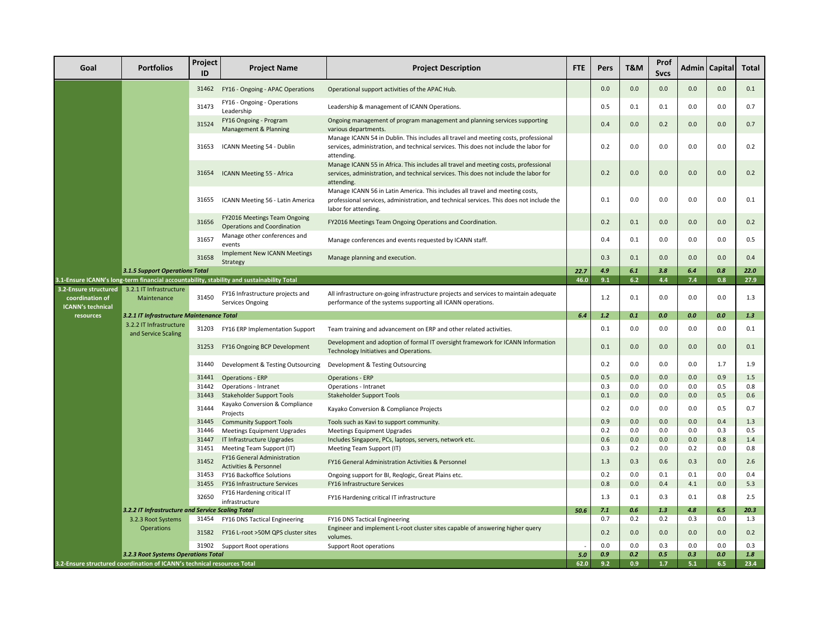| Goal                                                                 | <b>Portfolios</b>                                                       | Project<br>ID  | <b>Project Name</b>                                                                           | <b>Project Description</b>                                                                                                                                                                        | <b>FTE</b> | Pers       | <b>T&amp;M</b> | Prof<br><b>Sycs</b> |            | Admin   Capital | <b>Total</b> |
|----------------------------------------------------------------------|-------------------------------------------------------------------------|----------------|-----------------------------------------------------------------------------------------------|---------------------------------------------------------------------------------------------------------------------------------------------------------------------------------------------------|------------|------------|----------------|---------------------|------------|-----------------|--------------|
|                                                                      |                                                                         | 31462          | FY16 - Ongoing - APAC Operations                                                              | Operational support activities of the APAC Hub.                                                                                                                                                   |            | 0.0        | 0.0            | 0.0                 | 0.0        | 0.0             | 0.1          |
|                                                                      |                                                                         | 31473          | FY16 - Ongoing - Operations<br>Leadership                                                     | Leadership & management of ICANN Operations.                                                                                                                                                      |            | 0.5        | 0.1            | 0.1                 | 0.0        | 0.0             | 0.7          |
|                                                                      |                                                                         | 31524          | FY16 Ongoing - Program<br>Management & Planning                                               | Ongoing management of program management and planning services supporting<br>various departments.                                                                                                 |            | 0.4        | 0.0            | 0.2                 | 0.0        | 0.0             | 0.7          |
|                                                                      |                                                                         | 31653          | ICANN Meeting 54 - Dublin                                                                     | Manage ICANN 54 in Dublin. This includes all travel and meeting costs, professional<br>services, administration, and technical services. This does not include the labor for<br>attending.        |            | 0.2        | 0.0            | 0.0                 | 0.0        | 0.0             | 0.2          |
|                                                                      |                                                                         | 31654          | ICANN Meeting 55 - Africa                                                                     | Manage ICANN 55 in Africa. This includes all travel and meeting costs, professional<br>services, administration, and technical services. This does not include the labor for<br>attending.        |            | 0.2        | 0.0            | 0.0                 | 0.0        | 0.0             | 0.2          |
|                                                                      |                                                                         | 31655          | ICANN Meeting 56 - Latin America                                                              | Manage ICANN 56 in Latin America. This includes all travel and meeting costs,<br>professional services, administration, and technical services. This does not include the<br>labor for attending. |            | 0.1        | 0.0            | 0.0                 | 0.0        | 0.0             | 0.1          |
|                                                                      |                                                                         | 31656          | FY2016 Meetings Team Ongoing<br><b>Operations and Coordination</b>                            | FY2016 Meetings Team Ongoing Operations and Coordination.                                                                                                                                         |            | 0.2        | 0.1            | 0.0                 | 0.0        | 0.0             | 0.2          |
|                                                                      |                                                                         | 31657          | Manage other conferences and<br>events                                                        | Manage conferences and events requested by ICANN staff.                                                                                                                                           |            | 0.4        | 0.1            | 0.0                 | 0.0        | 0.0             | 0.5          |
|                                                                      |                                                                         | 31658          | <b>Implement New ICANN Meetings</b><br>Strategy                                               | Manage planning and execution.                                                                                                                                                                    |            | 0.3        | 0.1            | 0.0                 | 0.0        | 0.0             | 0.4          |
|                                                                      | <b>3.1.5 Support Operations Total</b>                                   |                |                                                                                               |                                                                                                                                                                                                   | 22.7       | 4.9        | 6.1            | 3.8                 | 6.4        | 0.8             | 22.0         |
|                                                                      |                                                                         |                | 3.1-Ensure ICANN's long-term financial accountability, stability and sustainability Total     |                                                                                                                                                                                                   | 46.0       | 9.1        | 6.2            | 4.4                 | 7.4        | 0.8             | 27.9         |
| 3.2-Ensure structured<br>coordination of<br><b>ICANN's technical</b> | 3.2.1 IT Infrastructure<br>Maintenance                                  | 31450          | FY16 Infrastructure projects and<br>Services Ongoing                                          | All infrastructure on-going infrastructure projects and services to maintain adequate<br>performance of the systems supporting all ICANN operations.                                              |            | 1.2        | 0.1            | 0.0                 | 0.0        | 0.0             | 1.3          |
| resources                                                            | 3.2.1 IT Infrastructure Maintenance Total                               |                |                                                                                               |                                                                                                                                                                                                   | 6.4        | 1.2        | 0.1            | 0.0                 | 0.0        | 0.0             | 1.3          |
|                                                                      | 3.2.2 IT Infrastructure<br>and Service Scaling                          | 31203          | FY16 ERP Implementation Support                                                               | Team training and advancement on ERP and other related activities.                                                                                                                                |            | 0.1        | 0.0            | 0.0                 | 0.0        | 0.0             | 0.1          |
|                                                                      |                                                                         | 31253          | FY16 Ongoing BCP Development                                                                  | Development and adoption of formal IT oversight framework for ICANN Information<br>Technology Initiatives and Operations.                                                                         |            | 0.1        | 0.0            | 0.0                 | 0.0        | 0.0             | 0.1          |
|                                                                      |                                                                         | 31440          | Development & Testing Outsourcing                                                             | Development & Testing Outsourcing                                                                                                                                                                 |            | 0.2        | 0.0            | 0.0                 | 0.0        | 1.7             | 1.9          |
|                                                                      |                                                                         | 31441          | <b>Operations - ERP</b>                                                                       | <b>Operations - ERP</b>                                                                                                                                                                           |            | 0.5        | 0.0            | 0.0                 | 0.0        | 0.9             | 1.5          |
|                                                                      |                                                                         | 31442          | Operations - Intranet                                                                         | Operations - Intranet                                                                                                                                                                             |            | 0.3        | $0.0\,$        | 0.0                 | 0.0        | 0.5             | 0.8          |
|                                                                      |                                                                         | 31443          | <b>Stakeholder Support Tools</b><br>Kayako Conversion & Compliance                            | <b>Stakeholder Support Tools</b>                                                                                                                                                                  |            | 0.1        | 0.0            | 0.0                 | 0.0        | 0.5             | 0.6          |
|                                                                      |                                                                         | 31444          | Projects                                                                                      | Kayako Conversion & Compliance Projects                                                                                                                                                           |            | 0.2        | 0.0            | 0.0                 | 0.0        | 0.5             | 0.7          |
|                                                                      |                                                                         | 31445          | <b>Community Support Tools</b>                                                                | Tools such as Kavi to support community.                                                                                                                                                          |            | 0.9        | 0.0            | 0.0                 | 0.0        | 0.4             | 1.3          |
|                                                                      |                                                                         | 31446          | Meetings Equipment Upgrades                                                                   | Meetings Equipment Upgrades                                                                                                                                                                       |            | 0.2        | 0.0            | 0.0                 | 0.0        | 0.3             | 0.5          |
|                                                                      |                                                                         | 31447          | IT Infrastructure Upgrades                                                                    | Includes Singapore, PCs, laptops, servers, network etc.                                                                                                                                           |            | 0.6<br>0.3 | 0.0<br>0.2     | 0.0<br>0.0          | 0.0<br>0.2 | 0.8<br>0.0      | 1.4<br>0.8   |
|                                                                      |                                                                         | 31451<br>31452 | Meeting Team Support (IT)<br>FY16 General Administration<br><b>Activities &amp; Personnel</b> | Meeting Team Support (IT)<br>FY16 General Administration Activities & Personnel                                                                                                                   |            | 1.3        | 0.3            | 0.6                 | 0.3        | 0.0             | 2.6          |
|                                                                      |                                                                         | 31453          | FY16 Backoffice Solutions                                                                     | Ongoing support for BI, Reqlogic, Great Plains etc.                                                                                                                                               |            | 0.2        | 0.0            | 0.1                 | 0.1        | 0.0             | 0.4          |
|                                                                      |                                                                         | 31455          | <b>FY16 Infrastructure Services</b>                                                           | FY16 Infrastructure Services                                                                                                                                                                      |            | 0.8        | 0.0            | 0.4                 | 4.1        | 0.0             | 5.3          |
|                                                                      |                                                                         | 32650          | FY16 Hardening critical IT                                                                    | FY16 Hardening critical IT infrastructure                                                                                                                                                         |            | 1.3        | 0.1            | 0.3                 | 0.1        | 0.8             | 2.5          |
|                                                                      | 3.2.2 IT Infrastructure and Service Scaling Total                       |                | infrastructure                                                                                |                                                                                                                                                                                                   | 50.6       | 7.1        | 0.6            | 1.3                 | 4.8        | 6.5             | 20.3         |
|                                                                      | 3.2.3 Root Systems                                                      |                | 31454 FY16 DNS Tactical Engineering                                                           | FY16 DNS Tactical Engineering                                                                                                                                                                     |            | 0.7        | 0.2            | 0.2                 | 0.3        | 0.0             | 1.3          |
|                                                                      | <b>Operations</b>                                                       | 31582          | FY16 L-root >50M QPS cluster sites                                                            | Engineer and implement L-root cluster sites capable of answering higher query<br>volumes.                                                                                                         |            | 0.2        | 0.0            | 0.0                 | 0.0        | 0.0             | 0.2          |
|                                                                      |                                                                         | 31902          | Support Root operations                                                                       | <b>Support Root operations</b>                                                                                                                                                                    |            | 0.0        | 0.0            | 0.3                 | 0.0        | 0.0             | 0.3          |
| 3.2.3 Root Systems Operations Total                                  |                                                                         |                |                                                                                               | 5.0                                                                                                                                                                                               | 0.9        | 0.2        | 0.5            | 0.3                 | 0.0        | $1.8$           |              |
|                                                                      | 3.2-Ensure structured coordination of ICANN's technical resources Total |                |                                                                                               |                                                                                                                                                                                                   |            | 9.2        | 0.9            | 1.7                 | 5.1        | 6.5             | 23.4         |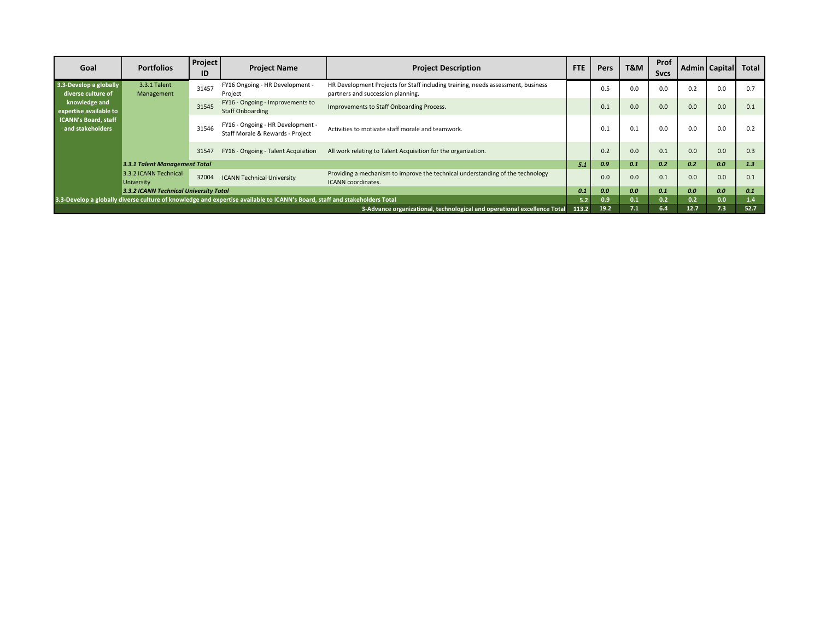| Goal                                            | <b>Portfolios</b>                                                                                                          | <b>Project</b><br>ID | <b>Project Name</b>                                                   | <b>Project Description</b>                                                                                            | <b>FTE</b> | <b>Pers</b> | T&M | Prof<br><b>Sycs</b> |      | Admin   Capital | Total |
|-------------------------------------------------|----------------------------------------------------------------------------------------------------------------------------|----------------------|-----------------------------------------------------------------------|-----------------------------------------------------------------------------------------------------------------------|------------|-------------|-----|---------------------|------|-----------------|-------|
| 3.3-Develop a globally<br>diverse culture of    | 3.3.1 Talent<br>Management                                                                                                 | 31457                | FY16 Ongoing - HR Development -<br>Project                            | HR Development Projects for Staff including training, needs assessment, business<br>partners and succession planning. |            | 0.5         | 0.0 | 0.0                 | 0.2  | 0.0             | 0.7   |
| knowledge and<br>expertise available to         |                                                                                                                            | 31545                | FY16 - Ongoing - Improvements to<br><b>Staff Onboarding</b>           | Improvements to Staff Onboarding Process.                                                                             |            | 0.1         | 0.0 | 0.0                 | 0.0  | 0.0             | 0.1   |
| <b>ICANN's Board, staff</b><br>and stakeholders |                                                                                                                            | 31546                | FY16 - Ongoing - HR Development -<br>Staff Morale & Rewards - Project | Activities to motivate staff morale and teamwork.                                                                     |            | 0.1         | 0.1 | 0.0                 | 0.0  | 0.0             | 0.2   |
|                                                 |                                                                                                                            | 31547                | FY16 - Ongoing - Talent Acquisition                                   | All work relating to Talent Acquisition for the organization.                                                         |            | 0.2         | 0.0 | 0.1                 | 0.0  | 0.0             | 0.3   |
|                                                 | 3.3.1 Talent Management Total                                                                                              |                      |                                                                       |                                                                                                                       | 5.1        | 0.9         | 0.1 | 0.2                 | 0.2  | 0.0             | 1.3   |
|                                                 | 3.3.2 ICANN Technical<br><b>University</b>                                                                                 | 32004                | <b>ICANN Technical University</b>                                     | Providing a mechanism to improve the technical understanding of the technology<br>ICANN coordinates.                  |            | 0.0         | 0.0 | 0.1                 | 0.0  | 0.0             | 0.1   |
|                                                 | 3.3.2 ICANN Technical University Total                                                                                     |                      |                                                                       |                                                                                                                       | 0.1        | 0.0         | 0.0 | 0.1                 | 0.0  | 0.0             | 0.1   |
|                                                 | 3.3-Develop a globally diverse culture of knowledge and expertise available to ICANN's Board, staff and stakeholders Total |                      |                                                                       | 5.2                                                                                                                   | 0.9        | 0.1         | 0.2 | 0.2                 | 0.0  | 1.4             |       |
|                                                 | 3-Advance organizational, technological and operational excellence Total                                                   |                      |                                                                       |                                                                                                                       |            | 19.2        | 7.1 | 6.4                 | 12.7 | 7.3             | 52.7  |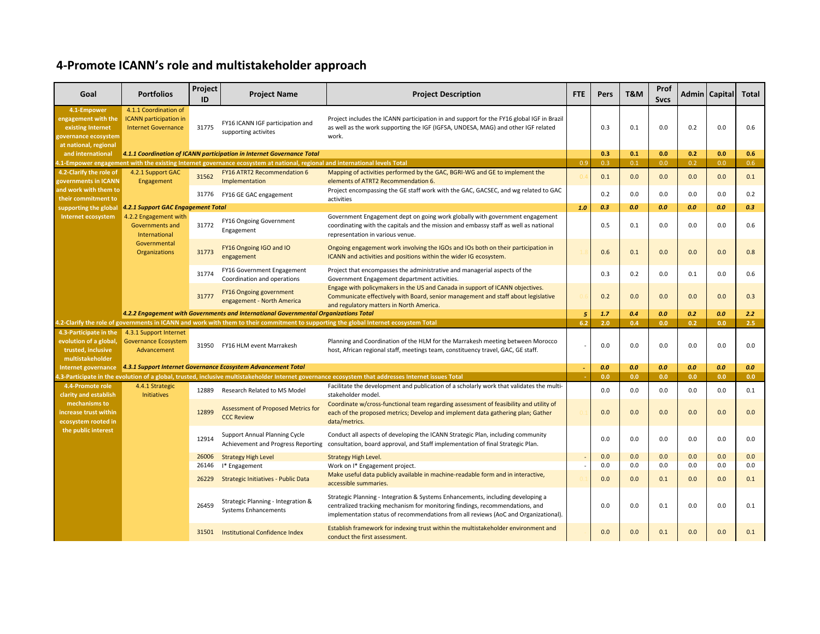#### **4-Promote ICANN's role and multistakeholder approach**

| Goal                                                                                                     | <b>Portfolios</b>                                                                    | Project<br>ID | <b>Project Name</b>                                                                                                         | <b>Project Description</b>                                                                                                                                                                                                                             | <b>FTE</b> | Pers | T&M | Prof<br><b>Sycs</b> |     | Admin   Capital | <b>Total</b>  |
|----------------------------------------------------------------------------------------------------------|--------------------------------------------------------------------------------------|---------------|-----------------------------------------------------------------------------------------------------------------------------|--------------------------------------------------------------------------------------------------------------------------------------------------------------------------------------------------------------------------------------------------------|------------|------|-----|---------------------|-----|-----------------|---------------|
| 4.1-Empower<br>engagement with the<br>existing Internet<br>governance ecosystem<br>at national, regional | 4.1.1 Coordination of<br><b>ICANN</b> participation in<br><b>Internet Governance</b> | 31775         | FY16 ICANN IGF participation and<br>supporting activites                                                                    | Project includes the ICANN participation in and support for the FY16 global IGF in Brazil<br>as well as the work supporting the IGF (IGFSA, UNDESA, MAG) and other IGF related<br>work.                                                                |            | 0.3  | 0.1 | 0.0                 | 0.2 | 0.0             | 0.6           |
| and international                                                                                        |                                                                                      |               | 4.1.1 Coordination of ICANN participation in Internet Governance Total                                                      |                                                                                                                                                                                                                                                        |            | 0.3  | 0.1 | 0.0                 | 0.2 | 0.0             | 0.6           |
|                                                                                                          |                                                                                      |               | 1.1-Empower engagement with the existing Internet governance ecosystem at national, regional and international levels Total |                                                                                                                                                                                                                                                        | 0.9        | 0.3  | 0.1 | 0.0                 | 0.2 | 0.0             | 0.6           |
| 4.2-Clarify the role of<br>governments in ICANN                                                          | 4.2.1 Support GAC<br>Engagement                                                      | 31562         | FY16 ATRT2 Recommendation 6<br>Implementation                                                                               | Mapping of activities performed by the GAC, BGRI-WG and GE to implement the<br>elements of ATRT2 Recommendation 6.                                                                                                                                     |            | 0.1  | 0.0 | 0.0                 | 0.0 | 0.0             | 0.1           |
| and work with them to<br>their commitment to                                                             |                                                                                      | 31776         | FY16 GE GAC engagement                                                                                                      | Project encompassing the GE staff work with the GAC, GACSEC, and wg related to GAC<br>activities                                                                                                                                                       |            | 0.2  | 0.0 | 0.0                 | 0.0 | 0.0             | 0.2           |
| supporting the global                                                                                    | 4.2.1 Support GAC Engagement Total                                                   |               |                                                                                                                             |                                                                                                                                                                                                                                                        | 1.0        | 0.3  | 0.0 | 0.0                 | 0.0 | 0.0             | 0.3           |
| Internet ecosystem                                                                                       | 4.2.2 Engagement with<br><b>Governments and</b><br>International                     | 31772         | FY16 Ongoing Government<br>Engagement                                                                                       | Government Engagement dept on going work globally with government engagement<br>coordinating with the capitals and the mission and embassy staff as well as national<br>representation in various venue.                                               |            | 0.5  | 0.1 | 0.0                 | 0.0 | 0.0             | 0.6           |
|                                                                                                          | Governmental<br>Organizations                                                        | 31773         | FY16 Ongoing IGO and IO<br>engagement                                                                                       | Ongoing engagement work involving the IGOs and IOs both on their participation in<br>ICANN and activities and positions within the wider IG ecosystem.                                                                                                 |            | 0.6  | 0.1 | 0.0                 | 0.0 | 0.0             | 0.8           |
|                                                                                                          |                                                                                      | 31774         | FY16 Government Engagement<br>Coordination and operations                                                                   | Project that encompasses the administrative and managerial aspects of the<br>Government Engagement department activities.                                                                                                                              |            | 0.3  | 0.2 | 0.0                 | 0.1 | 0.0             | 0.6           |
|                                                                                                          |                                                                                      | 31777         | FY16 Ongoing government<br>engagement - North America                                                                       | Engage with policymakers in the US and Canada in support of ICANN objectives.<br>Communicate effectively with Board, senior management and staff about legislative<br>and regulatory matters in North America.                                         |            | 0.2  | 0.0 | 0.0                 | 0.0 | 0.0             | 0.3           |
|                                                                                                          |                                                                                      |               | 4.2.2 Engagement with Governments and International Governmental Organizations Total                                        |                                                                                                                                                                                                                                                        | 5          | 1.7  | 0.4 | 0.0                 | 0.2 | 0.0             | 2.2           |
|                                                                                                          |                                                                                      |               |                                                                                                                             | 4.2-Clarify the role of governments in ICANN and work with them to their commitment to supporting the global Internet ecosystem Total                                                                                                                  | 6.2        | 2.0  | 0.4 | 0.0                 | 0.2 | 0.0             | $2.5^{\circ}$ |
| 4.3-Participate in the<br>evolution of a global,<br>trusted, inclusive<br>multistakeholder               | 4.3.1 Support Internet<br><b>Governance Ecosystem</b><br>Advancement                 |               | 31950 FY16 HLM event Marrakesh                                                                                              | Planning and Coordination of the HLM for the Marrakesh meeting between Morocco<br>host, African regional staff, meetings team, constituency travel, GAC, GE staff.                                                                                     |            | 0.0  | 0.0 | 0.0                 | 0.0 | 0.0             | 0.0           |
|                                                                                                          |                                                                                      |               | Internet governance 4.3.1 Support Internet Governance Ecosystem Advancement Total                                           |                                                                                                                                                                                                                                                        |            | 0.0  | 0.0 | 0.0                 | 0.0 | 0.0             | 0.0           |
|                                                                                                          |                                                                                      |               |                                                                                                                             | 1.3-Participate in the evolution of a global, trusted, inclusive multistakeholder Internet governance ecosystem that addresses Internet issues Total                                                                                                   |            | 0.0  | 0.0 | 0.0                 | 0.0 | 0.0             | 0.0           |
| 4.4-Promote role<br>clarity and establish                                                                | 4.4.1 Strategic<br>Initiatives                                                       | 12889         | Research Related to MS Model                                                                                                | Facilitate the development and publication of a scholarly work that validates the multi-<br>stakeholder model.                                                                                                                                         |            | 0.0  | 0.0 | 0.0                 | 0.0 | 0.0             | 0.1           |
| mechanisms to<br>increase trust within<br>ecosystem rooted in                                            |                                                                                      | 12899         | Assessment of Proposed Metrics for<br><b>CCC Review</b>                                                                     | Coordinate w/cross-functional team regarding assessment of feasibility and utility of<br>each of the proposed metrics; Develop and implement data gathering plan; Gather<br>data/metrics.                                                              |            | 0.0  | 0.0 | 0.0                 | 0.0 | 0.0             | 0.0           |
| the public interest                                                                                      |                                                                                      | 12914         | <b>Support Annual Planning Cycle</b><br>Achievement and Progress Reporting                                                  | Conduct all aspects of developing the ICANN Strategic Plan, including community<br>consultation, board approval, and Staff implementation of final Strategic Plan.                                                                                     |            | 0.0  | 0.0 | 0.0                 | 0.0 | 0.0             | 0.0           |
|                                                                                                          |                                                                                      | 26006         | <b>Strategy High Level</b>                                                                                                  | <b>Strategy High Level.</b>                                                                                                                                                                                                                            |            | 0.0  | 0.0 | 0.0                 | 0.0 | 0.0             | 0.0           |
|                                                                                                          |                                                                                      | 26146         | I* Engagement                                                                                                               | Work on I* Engagement project.                                                                                                                                                                                                                         |            | 0.0  | 0.0 | 0.0                 | 0.0 | 0.0             | 0.0           |
|                                                                                                          |                                                                                      | 26229         | Strategic Initiatives - Public Data                                                                                         | Make useful data publicly available in machine-readable form and in interactive,<br>accessible summaries.                                                                                                                                              |            | 0.0  | 0.0 | 0.1                 | 0.0 | 0.0             | 0.1           |
|                                                                                                          |                                                                                      | 26459         | Strategic Planning - Integration &<br><b>Systems Enhancements</b>                                                           | Strategic Planning - Integration & Systems Enhancements, including developing a<br>centralized tracking mechanism for monitoring findings, recommendations, and<br>implementation status of recommendations from all reviews (AoC and Organizational). |            | 0.0  | 0.0 | 0.1                 | 0.0 | 0.0             | 0.1           |
|                                                                                                          |                                                                                      |               | 31501 Institutional Confidence Index                                                                                        | Establish framework for indexing trust within the multistakeholder environment and<br>conduct the first assessment.                                                                                                                                    |            | 0.0  | 0.0 | 0.1                 | 0.0 | 0.0             | 0.1           |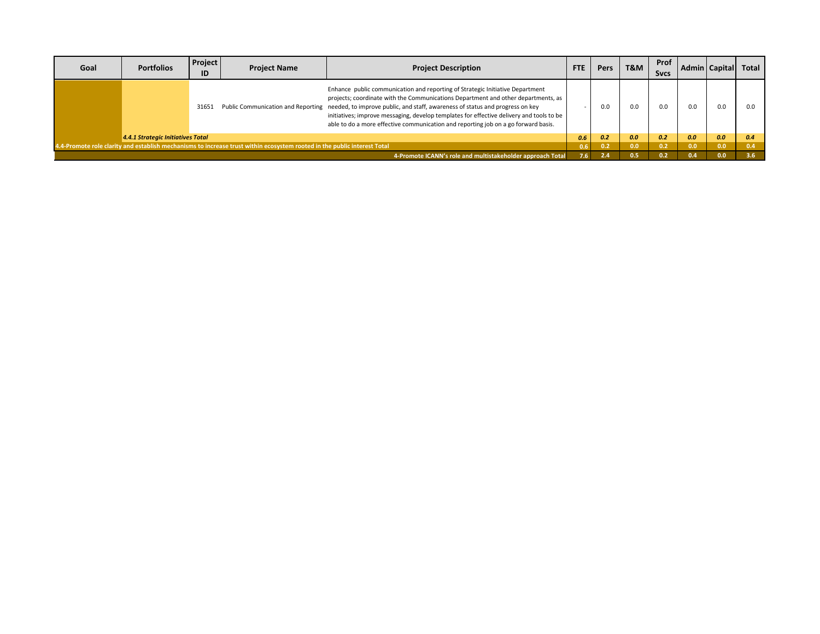| Goal | <b>Portfolios</b>                                                                                                                                                                      | Project<br>ID | <b>Project Name</b> | <b>Project Description</b>                                                                                                                                                                                                                                                                                                                                                                                                                                               | <b>FTE</b> | <b>Pers</b> | T&M | Prof<br><b>Sycs</b> | Admin I | <b>Capitall</b> | Total         |
|------|----------------------------------------------------------------------------------------------------------------------------------------------------------------------------------------|---------------|---------------------|--------------------------------------------------------------------------------------------------------------------------------------------------------------------------------------------------------------------------------------------------------------------------------------------------------------------------------------------------------------------------------------------------------------------------------------------------------------------------|------------|-------------|-----|---------------------|---------|-----------------|---------------|
|      |                                                                                                                                                                                        | 31651         |                     | Enhance public communication and reporting of Strategic Initiative Department<br>projects; coordinate with the Communications Department and other departments, as<br>Public Communication and Reporting needed, to improve public, and staff, awareness of status and progress on key<br>initiatives; improve messaging, develop templates for effective delivery and tools to be<br>able to do a more effective communication and reporting job on a go forward basis. |            | .J.O        | 0.0 | 0.0                 | 0.0     | 0.0             | 0.0           |
|      | 4.4.1 Strategic Initiatives Total                                                                                                                                                      |               |                     |                                                                                                                                                                                                                                                                                                                                                                                                                                                                          | 0.6        | 0.2         | 0.0 | 0.2                 | 0.0     | 0.0             | 0.4           |
|      |                                                                                                                                                                                        |               |                     |                                                                                                                                                                                                                                                                                                                                                                                                                                                                          |            | 0.2         | 0.0 | 0.2                 | 0.0     | 0.0             |               |
|      | 4.4-Promote role clarity and establish mechanisms to increase trust within ecosystem rooted in the public interest Total<br>4-Promote ICANN's role and multistakeholder approach Total |               |                     |                                                                                                                                                                                                                                                                                                                                                                                                                                                                          | 76.        |             | J.5 | 0.2                 | 0.4     | 0.0             | $3.6^{\circ}$ |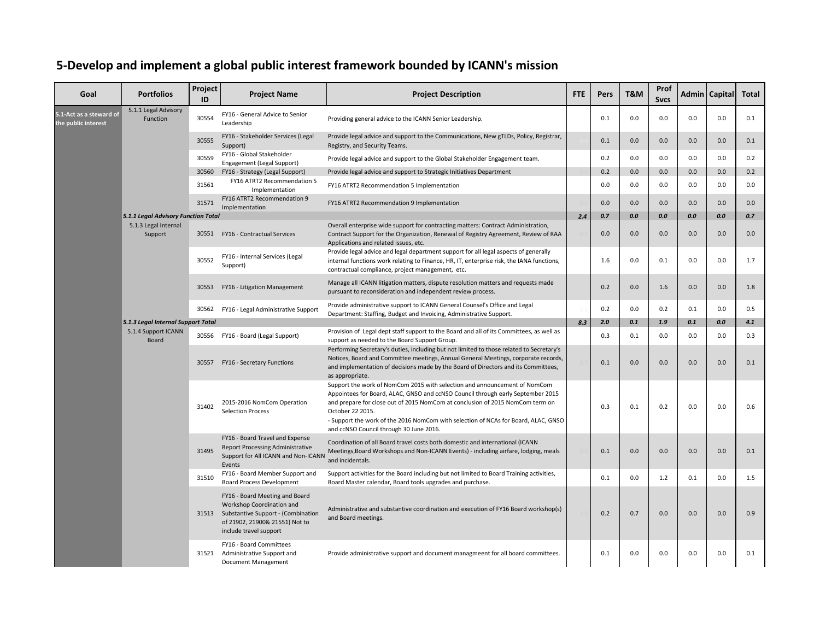## **5-Develop and implement a global public interest framework bounded by ICANN's mission**

| Goal                                           | <b>Portfolios</b>                                                                                                              | Project<br>ID                                                                                                     | <b>Project Name</b>                                                                                                                                                                      | <b>Project Description</b>                                                                                                                                                                                                            | FTE                                                                                                                                                                                                                                                                                                                                                                                                | Pers | T&M | Prof<br><b>Sycs</b> |     | Admin   Capital | <b>Total</b> |     |
|------------------------------------------------|--------------------------------------------------------------------------------------------------------------------------------|-------------------------------------------------------------------------------------------------------------------|------------------------------------------------------------------------------------------------------------------------------------------------------------------------------------------|---------------------------------------------------------------------------------------------------------------------------------------------------------------------------------------------------------------------------------------|----------------------------------------------------------------------------------------------------------------------------------------------------------------------------------------------------------------------------------------------------------------------------------------------------------------------------------------------------------------------------------------------------|------|-----|---------------------|-----|-----------------|--------------|-----|
| 5.1-Act as a steward of<br>the public interest | 5.1.1 Legal Advisory<br>Function                                                                                               | 30554                                                                                                             | FY16 - General Advice to Senior<br>Leadership                                                                                                                                            | Providing general advice to the ICANN Senior Leadership.                                                                                                                                                                              |                                                                                                                                                                                                                                                                                                                                                                                                    | 0.1  | 0.0 | 0.0                 | 0.0 | 0.0             | 0.1          |     |
|                                                |                                                                                                                                | 30555                                                                                                             | FY16 - Stakeholder Services (Legal<br>Support)                                                                                                                                           | Provide legal advice and support to the Communications, New gTLDs, Policy, Registrar,<br>Registry, and Security Teams.                                                                                                                |                                                                                                                                                                                                                                                                                                                                                                                                    | 0.1  | 0.0 | 0.0                 | 0.0 | 0.0             | 0.1          |     |
|                                                |                                                                                                                                | 30559                                                                                                             | FY16 - Global Stakeholder<br>Engagement (Legal Support)                                                                                                                                  | Provide legal advice and support to the Global Stakeholder Engagement team.                                                                                                                                                           |                                                                                                                                                                                                                                                                                                                                                                                                    | 0.2  | 0.0 | 0.0                 | 0.0 | 0.0             | 0.2          |     |
|                                                |                                                                                                                                | 30560                                                                                                             | FY16 - Strategy (Legal Support)                                                                                                                                                          | Provide legal advice and support to Strategic Initiatives Department                                                                                                                                                                  |                                                                                                                                                                                                                                                                                                                                                                                                    | 0.2  | 0.0 | 0.0                 | 0.0 | 0.0             | 0.2          |     |
|                                                |                                                                                                                                | 31561                                                                                                             | FY16 ATRT2 Recommendation 5<br>Implementation                                                                                                                                            | FY16 ATRT2 Recommendation 5 Implementation                                                                                                                                                                                            |                                                                                                                                                                                                                                                                                                                                                                                                    | 0.0  | 0.0 | 0.0                 | 0.0 | 0.0             | 0.0          |     |
|                                                |                                                                                                                                | 31571                                                                                                             | FY16 ATRT2 Recommendation 9<br>Implementation                                                                                                                                            | FY16 ATRT2 Recommendation 9 Implementation                                                                                                                                                                                            |                                                                                                                                                                                                                                                                                                                                                                                                    | 0.0  | 0.0 | 0.0                 | 0.0 | 0.0             | 0.0          |     |
|                                                | 5.1.1 Legal Advisory Function Total                                                                                            |                                                                                                                   |                                                                                                                                                                                          |                                                                                                                                                                                                                                       | 2.4                                                                                                                                                                                                                                                                                                                                                                                                | 0.7  | 0.0 | 0.0                 | 0.0 | 0.0             | 0.7          |     |
|                                                | 5.1.3 Legal Internal<br>Support                                                                                                |                                                                                                                   | 30551 FY16 - Contractual Services                                                                                                                                                        | Overall enterprise wide support for contracting matters: Contract Administration,<br>Contract Support for the Organization, Renewal of Registry Agreement, Review of RAA<br>Applications and related issues, etc.                     |                                                                                                                                                                                                                                                                                                                                                                                                    | 0.0  | 0.0 | 0.0                 | 0.0 | 0.0             | 0.0          |     |
|                                                |                                                                                                                                | 30552                                                                                                             | FY16 - Internal Services (Legal<br>Support)                                                                                                                                              | Provide legal advice and legal department support for all legal aspects of generally<br>internal functions work relating to Finance, HR, IT, enterprise risk, the IANA functions,<br>contractual compliance, project management, etc. |                                                                                                                                                                                                                                                                                                                                                                                                    | 1.6  | 0.0 | 0.1                 | 0.0 | 0.0             | 1.7          |     |
|                                                |                                                                                                                                | 30553                                                                                                             | FY16 - Litigation Management                                                                                                                                                             | Manage all ICANN litigation matters, dispute resolution matters and requests made<br>pursuant to reconsideration and independent review process.                                                                                      |                                                                                                                                                                                                                                                                                                                                                                                                    | 0.2  | 0.0 | 1.6                 | 0.0 | 0.0             | 1.8          |     |
|                                                |                                                                                                                                | 30562                                                                                                             | FY16 - Legal Administrative Support                                                                                                                                                      | Provide administrative support to ICANN General Counsel's Office and Legal<br>Department: Staffing, Budget and Invoicing, Administrative Support.                                                                                     |                                                                                                                                                                                                                                                                                                                                                                                                    | 0.2  | 0.0 | 0.2                 | 0.1 | 0.0             | 0.5          |     |
|                                                | 5.1.3 Legal Internal Support Total                                                                                             |                                                                                                                   |                                                                                                                                                                                          |                                                                                                                                                                                                                                       | 8.3                                                                                                                                                                                                                                                                                                                                                                                                | 2.0  | 0.1 | 1.9                 | 0.1 | 0.0             | 4.1          |     |
|                                                | 5.1.4 Support ICANN<br>Board                                                                                                   |                                                                                                                   |                                                                                                                                                                                          | Provision of Legal dept staff support to the Board and all of its Committees, as well as<br>support as needed to the Board Support Group.                                                                                             |                                                                                                                                                                                                                                                                                                                                                                                                    | 0.3  | 0.1 | 0.0                 | 0.0 | 0.0             | 0.3          |     |
|                                                | 30556 FY16 - Board (Legal Support)<br>30557 FY16 - Secretary Functions<br>31402<br><b>Selection Process</b><br>31495<br>Events |                                                                                                                   |                                                                                                                                                                                          |                                                                                                                                                                                                                                       | Performing Secretary's duties, including but not limited to those related to Secretary's<br>Notices, Board and Committee meetings, Annual General Meetings, corporate records,<br>and implementation of decisions made by the Board of Directors and its Committees,<br>as appropriate.                                                                                                            |      | 0.1 | 0.0                 | 0.0 | 0.0             | 0.0          | 0.1 |
|                                                |                                                                                                                                |                                                                                                                   |                                                                                                                                                                                          | 2015-2016 NomCom Operation                                                                                                                                                                                                            | Support the work of NomCom 2015 with selection and announcement of NomCom<br>Appointees for Board, ALAC, GNSO and ccNSO Council through early September 2015<br>and prepare for close out of 2015 NomCom at conclusion of 2015 NomCom term on<br>October 22 2015.<br>- Support the work of the 2016 NomCom with selection of NCAs for Board, ALAC, GNSO<br>and ccNSO Council through 30 June 2016. |      | 0.3 | 0.1                 | 0.2 | 0.0             | 0.0          | 0.6 |
|                                                |                                                                                                                                | FY16 - Board Travel and Expense<br><b>Report Processing Administrative</b><br>Support for All ICANN and Non-ICANN | Coordination of all Board travel costs both domestic and international (ICANN<br>Meetings, Board Workshops and Non-ICANN Events) - including airfare, lodging, meals<br>and incidentals. |                                                                                                                                                                                                                                       | 0.1                                                                                                                                                                                                                                                                                                                                                                                                | 0.0  | 0.0 | 0.0                 | 0.0 | 0.1             |              |     |
|                                                |                                                                                                                                | 31510                                                                                                             | FY16 - Board Member Support and<br><b>Board Process Development</b>                                                                                                                      | Support activities for the Board including but not limited to Board Training activities,<br>Board Master calendar, Board tools upgrades and purchase.                                                                                 |                                                                                                                                                                                                                                                                                                                                                                                                    | 0.1  | 0.0 | 1.2                 | 0.1 | 0.0             | 1.5          |     |
|                                                |                                                                                                                                |                                                                                                                   | FY16 - Board Meeting and Board<br>Workshop Coordination and<br>31513 Substantive Support - (Combination<br>of 21902, 21900& 21551) Not to<br>include travel support                      | Administrative and substantive coordination and execution of FY16 Board workshop(s)<br>and Board meetings.                                                                                                                            |                                                                                                                                                                                                                                                                                                                                                                                                    | 0.2  | 0.7 | 0.0                 | 0.0 | 0.0             | 0.9          |     |
|                                                |                                                                                                                                | 31521                                                                                                             | FY16 - Board Committees<br>Administrative Support and<br><b>Document Management</b>                                                                                                      | Provide administrative support and document managmeent for all board committees.                                                                                                                                                      |                                                                                                                                                                                                                                                                                                                                                                                                    | 0.1  | 0.0 | 0.0                 | 0.0 | 0.0             | 0.1          |     |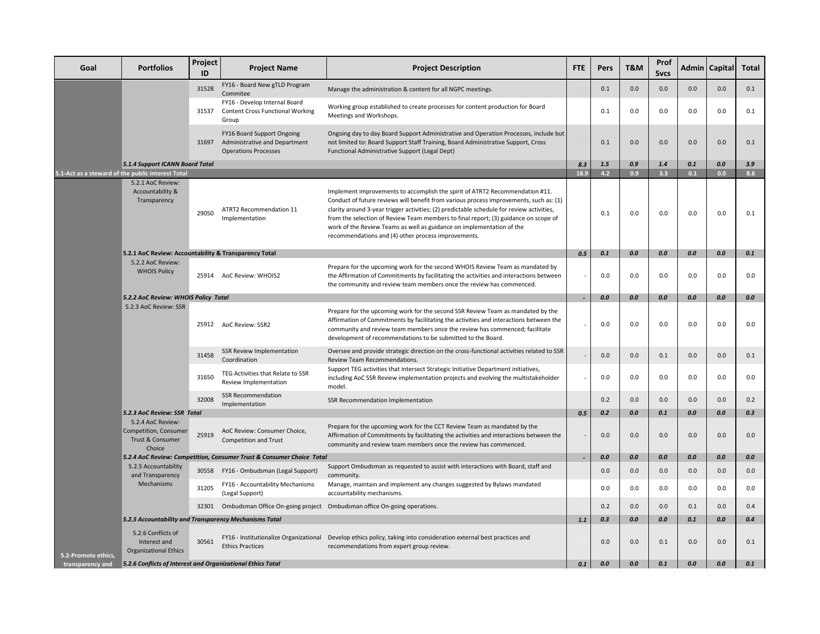| Goal                | <b>Portfolios</b>                                                        | Project<br>ID | <b>Project Name</b>                                                                              | <b>Project Description</b>                                                                                                                                                                                                                                                                                                                                                                                                                                                                 | <b>FTE</b> | Pers    | T&M     | Prof<br><b>Sycs</b> |     | Admin   Capital | <b>Total</b> |
|---------------------|--------------------------------------------------------------------------|---------------|--------------------------------------------------------------------------------------------------|--------------------------------------------------------------------------------------------------------------------------------------------------------------------------------------------------------------------------------------------------------------------------------------------------------------------------------------------------------------------------------------------------------------------------------------------------------------------------------------------|------------|---------|---------|---------------------|-----|-----------------|--------------|
|                     |                                                                          | 31528         | FY16 - Board New gTLD Program<br>Commitee                                                        | Manage the administration & content for all NGPC meetings.                                                                                                                                                                                                                                                                                                                                                                                                                                 |            | 0.1     | 0.0     | 0.0                 | 0.0 | 0.0             | 0.1          |
|                     |                                                                          | 31537         | FY16 - Develop Internal Board<br><b>Content Cross Functional Working</b><br>Group                | Working group established to create processes for content production for Board<br>Meetings and Workshops.                                                                                                                                                                                                                                                                                                                                                                                  |            | 0.1     | 0.0     | 0.0                 | 0.0 | 0.0             | 0.1          |
|                     |                                                                          |               | FY16 Board Support Ongoing<br>31697 Administrative and Department<br><b>Operations Processes</b> | Ongoing day to day Board Support Administrative and Operation Processes, include but<br>not limited to: Board Support Staff Training, Board Administrative Support, Cross<br>Functional Administrative Support (Legal Dept)                                                                                                                                                                                                                                                                |            | 0.1     | 0.0     | 0.0                 | 0.0 | 0.0             | 0.1          |
|                     | 5.1.4 Support ICANN Board Total                                          |               |                                                                                                  |                                                                                                                                                                                                                                                                                                                                                                                                                                                                                            | 8.3        | 1.5     | 0.9     | 1.4                 | 0.1 | 0.0             | 3.9          |
|                     | 5.1-Act as a steward of the public interest Total                        |               |                                                                                                  |                                                                                                                                                                                                                                                                                                                                                                                                                                                                                            | 18.9       | 4.2     | 0.9     | 3.3                 | 0.1 | 0.0             | 8.6          |
|                     | 5.2.1 AoC Review:<br>Accountability &<br>Transparency                    | 29050         | ATRT2 Recommendation 11<br>Implementation                                                        | Implement improvements to accomplish the spirit of ATRT2 Recommendation #11.<br>Conduct of future reviews will benefit from various process improvements, such as: (1)<br>clarity around 3-year trigger activities; (2) predictable schedule for review activities,<br>from the selection of Review Team members to final report; (3) guidance on scope of<br>work of the Review Teams as well as guidance on implementation of the<br>recommendations and (4) other process improvements. |            | 0.1     | 0.0     | 0.0                 | 0.0 | 0.0             | 0.1          |
|                     | 5.2.1 AoC Review: Accountability & Transparency Total                    |               |                                                                                                  |                                                                                                                                                                                                                                                                                                                                                                                                                                                                                            | 0.5        | 0.1     | 0.0     | 0.0                 | 0.0 | 0.0             | 0.1          |
|                     | 5.2.2 AoC Review:<br><b>WHOIS Policy</b>                                 |               | 25914 AoC Review: WHOIS2                                                                         | Prepare for the upcoming work for the second WHOIS Review Team as mandated by<br>the Affirmation of Commitments by facilitating the activities and interactions between<br>the community and review team members once the review has commenced.                                                                                                                                                                                                                                            |            | 0.0     | 0.0     | 0.0                 | 0.0 | 0.0             | 0.0          |
|                     | 5.2.2 AoC Review: WHOIS Policy Total                                     |               |                                                                                                  |                                                                                                                                                                                                                                                                                                                                                                                                                                                                                            |            | 0.0     | 0.0     | 0.0                 | 0.0 | 0.0             | 0.0          |
|                     | 5.2.3 AoC Review: SSR                                                    |               | 25912 AoC Review: SSR2                                                                           | Prepare for the upcoming work for the second SSR Review Team as mandated by the<br>Affirmation of Commitments by facilitating the activities and interactions between the<br>community and review team members once the review has commenced; facilitate<br>development of recommendations to be submitted to the Board.                                                                                                                                                                   |            | 0.0     | 0.0     | 0.0                 | 0.0 | 0.0             | 0.0          |
|                     |                                                                          | 31458         | <b>SSR Review Implementation</b><br>Coordination                                                 | Oversee and provide strategic direction on the cross-functional activities related to SSR<br>Review Team Recommendations.                                                                                                                                                                                                                                                                                                                                                                  |            | 0.0     | 0.0     | 0.1                 | 0.0 | 0.0             | 0.1          |
|                     |                                                                          | 31650         | TEG Activities that Relate to SSR<br>Review Implementation                                       | Support TEG activities that intersect Strategic Initiative Department initiatives,<br>including AoC SSR Review implementation projects and evolving the multistakeholder<br>model.                                                                                                                                                                                                                                                                                                         |            | 0.0     | 0.0     | 0.0                 | 0.0 | 0.0             | 0.0          |
|                     |                                                                          | 32008         | <b>SSR Recommendation</b><br>Implementation                                                      | SSR Recommendation Implementation                                                                                                                                                                                                                                                                                                                                                                                                                                                          |            | 0.2     | 0.0     | 0.0                 | 0.0 | 0.0             | 0.2          |
|                     | 5.2.3 AoC Review: SSR Total                                              |               |                                                                                                  |                                                                                                                                                                                                                                                                                                                                                                                                                                                                                            | 0.5        | 0.2     | 0.0     | 0.1                 | 0.0 | 0.0             | 0.3          |
|                     | 5.2.4 AoC Review:<br>Competition, Consumer<br>Trust & Consumer<br>Choice | 25919         | AoC Review: Consumer Choice,<br><b>Competition and Trust</b>                                     | Prepare for the upcoming work for the CCT Review Team as mandated by the<br>Affirmation of Commitments by facilitating the activities and interactions between the<br>community and review team members once the review has commenced.                                                                                                                                                                                                                                                     |            | 0.0     | 0.0     | 0.0                 | 0.0 | 0.0             | 0.0          |
|                     |                                                                          |               | 5.2.4 AoC Review: Competition, Consumer Trust & Consumer Choice Total                            |                                                                                                                                                                                                                                                                                                                                                                                                                                                                                            |            | $0.0\,$ | $0.0\,$ | 0.0                 | 0.0 | $0.0\,$         | 0.0          |
|                     | 5.2.5 Accountability<br>and Transparency                                 | 30558         | FY16 - Ombudsman (Legal Support)                                                                 | Support Ombudsman as requested to assist with interactions with Board, staff and<br>community.                                                                                                                                                                                                                                                                                                                                                                                             |            | 0.0     | 0.0     | 0.0                 | 0.0 | 0.0             | 0.0          |
|                     | Mechanisms                                                               | 31205         | FY16 - Accountability Mechanisms<br>(Legal Support)                                              | Manage, maintain and implement any changes suggested by Bylaws mandated<br>accountability mechanisms.                                                                                                                                                                                                                                                                                                                                                                                      |            | 0.0     | 0.0     | 0.0                 | 0.0 | 0.0             | 0.0          |
|                     |                                                                          |               |                                                                                                  | 32301 Ombudsman Office On-going project Ombudsman office On-going operations.                                                                                                                                                                                                                                                                                                                                                                                                              |            | 0.2     | 0.0     | 0.0                 | 0.1 | 0.0             | 0.4          |
|                     | 5.2.5 Accountability and Transparency Mechanisms Total                   |               |                                                                                                  |                                                                                                                                                                                                                                                                                                                                                                                                                                                                                            | 1.1        | 0.3     | 0.0     | 0.0                 | 0.1 | 0.0             | 0.4          |
| 5.2-Promote ethics, | 5.2.6 Conflicts of<br>Interest and<br><b>Organizational Ethics</b>       | 30561         | <b>Ethics Practices</b>                                                                          | FY16 - Institutionalize Organizational Develop ethics policy, taking into consideration external best practices and<br>recommendations from expert group review.                                                                                                                                                                                                                                                                                                                           |            | 0.0     | 0.0     | 0.1                 | 0.0 | 0.0             | 0.1          |
| transparency and    | 5.2.6 Conflicts of Interest and Organizational Ethics Total              |               |                                                                                                  |                                                                                                                                                                                                                                                                                                                                                                                                                                                                                            | 0.1        | 0.0     | 0.0     | 0.1                 | 0.0 | 0.0             | 0.1          |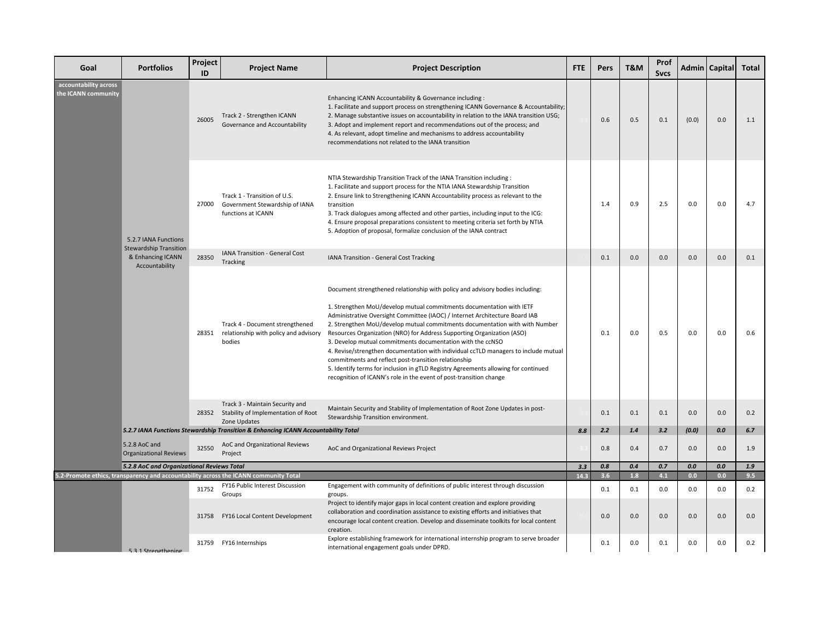| Goal                                         | <b>Portfolios</b>                                     | Project<br>ID | <b>Project Name</b>                                                                          | <b>Project Description</b>                                                                                                                                                                                                                                                                                                                                                                                                                                                                                                                                                                                                                                                                                                                                             | <b>FTE</b> | <b>Pers</b> | T&M | Prof<br><b>Svcs</b> |       | Admin   Capital | <b>Total</b> |
|----------------------------------------------|-------------------------------------------------------|---------------|----------------------------------------------------------------------------------------------|------------------------------------------------------------------------------------------------------------------------------------------------------------------------------------------------------------------------------------------------------------------------------------------------------------------------------------------------------------------------------------------------------------------------------------------------------------------------------------------------------------------------------------------------------------------------------------------------------------------------------------------------------------------------------------------------------------------------------------------------------------------------|------------|-------------|-----|---------------------|-------|-----------------|--------------|
| accountability across<br>the ICANN community |                                                       | 26005         | Track 2 - Strengthen ICANN<br>Governance and Accountability                                  | Enhancing ICANN Accountability & Governance including :<br>1. Facilitate and support process on strengthening ICANN Governance & Accountability;<br>2. Manage substantive issues on accountability in relation to the IANA transition USG;<br>3. Adopt and implement report and recommendations out of the process; and<br>4. As relevant, adopt timeline and mechanisms to address accountability<br>recommendations not related to the IANA transition                                                                                                                                                                                                                                                                                                               |            | 0.6         | 0.5 | 0.1                 | (0.0) | 0.0             | 1.1          |
|                                              | 5.2.7 IANA Functions<br><b>Stewardship Transition</b> | 27000         | Track 1 - Transition of U.S.<br>Government Stewardship of IANA<br>functions at ICANN         | NTIA Stewardship Transition Track of the IANA Transition including :<br>1. Facilitate and support process for the NTIA IANA Stewardship Transition<br>2. Ensure link to Strengthening ICANN Accountability process as relevant to the<br>transition<br>3. Track dialogues among affected and other parties, including input to the ICG:<br>4. Ensure proposal preparations consistent to meeting criteria set forth by NTIA<br>5. Adoption of proposal, formalize conclusion of the IANA contract                                                                                                                                                                                                                                                                      |            | 1.4         | 0.9 | 2.5                 | 0.0   | 0.0             | 4.7          |
|                                              | & Enhancing ICANN                                     | 28350         | IANA Transition - General Cost<br>Tracking                                                   | IANA Transition - General Cost Tracking                                                                                                                                                                                                                                                                                                                                                                                                                                                                                                                                                                                                                                                                                                                                |            | 0.1         | 0.0 | 0.0                 | 0.0   | 0.0             | 0.1          |
|                                              | Accountability                                        | 28351         | Track 4 - Document strengthened<br>relationship with policy and advisory<br>bodies           | Document strengthened relationship with policy and advisory bodies including:<br>1. Strengthen MoU/develop mutual commitments documentation with IETF<br>Administrative Oversight Committee (IAOC) / Internet Architecture Board IAB<br>2. Strengthen MoU/develop mutual commitments documentation with with Number<br>Resources Organization (NRO) for Address Supporting Organization (ASO)<br>3. Develop mutual commitments documentation with the ccNSO<br>4. Revise/strengthen documentation with individual ccTLD managers to include mutual<br>commitments and reflect post-transition relationship<br>5. Identify terms for inclusion in gTLD Registry Agreements allowing for continued<br>recognition of ICANN's role in the event of post-transition change |            | 0.1         | 0.0 | 0.5                 | 0.0   | 0.0             | 0.6          |
|                                              |                                                       |               | Track 3 - Maintain Security and<br>28352 Stability of Implementation of Root<br>Zone Updates | Maintain Security and Stability of Implementation of Root Zone Updates in post-<br>Stewardship Transition environment.                                                                                                                                                                                                                                                                                                                                                                                                                                                                                                                                                                                                                                                 |            | 0.1         | 0.1 | 0.1                 | 0.0   | 0.0             | 0.2          |
|                                              |                                                       |               | 5.2.7 IANA Functions Stewardship Transition & Enhancing ICANN Accountability Total           |                                                                                                                                                                                                                                                                                                                                                                                                                                                                                                                                                                                                                                                                                                                                                                        | 8.8        | 2.2         | 1.4 | 3.2                 | (0.0) | 0.0             | 6.7          |
|                                              | 5.2.8 AoC and<br><b>Organizational Reviews</b>        | 32550         | AoC and Organizational Reviews<br>Project                                                    | AoC and Organizational Reviews Project                                                                                                                                                                                                                                                                                                                                                                                                                                                                                                                                                                                                                                                                                                                                 |            | 0.8         | 0.4 | 0.7                 | 0.0   | 0.0             | 1.9          |
|                                              | 5.2.8 AoC and Organizational Reviews Total            |               |                                                                                              |                                                                                                                                                                                                                                                                                                                                                                                                                                                                                                                                                                                                                                                                                                                                                                        | 3.3        | 0.8         | 0.4 | 0.7                 | 0.0   | 0.0             | 1.9          |
|                                              |                                                       |               | 5.2-Promote ethics, transparency and accountability across the ICANN community Total         |                                                                                                                                                                                                                                                                                                                                                                                                                                                                                                                                                                                                                                                                                                                                                                        | 14.3       | 3.6         | 1.8 | 4.1                 | 0.0   | 0.0             | 9.5          |
|                                              |                                                       | 31752         | FY16 Public Interest Discussion<br>Groups                                                    | Engagement with community of definitions of public interest through discussion<br>groups.                                                                                                                                                                                                                                                                                                                                                                                                                                                                                                                                                                                                                                                                              |            | 0.1         | 0.1 | 0.0                 | 0.0   | 0.0             | 0.2          |
|                                              |                                                       | 31758         | FY16 Local Content Development                                                               | Project to identify major gaps in local content creation and explore providing<br>collaboration and coordination assistance to existing efforts and initiatives that<br>encourage local content creation. Develop and disseminate toolkits for local content<br>creation.                                                                                                                                                                                                                                                                                                                                                                                                                                                                                              |            | 0.0         | 0.0 | 0.0                 | 0.0   | 0.0             | 0.0          |
|                                              | 531 Strengthening                                     | 31759         | FY16 Internships                                                                             | Explore establishing framework for international internship program to serve broader<br>international engagement goals under DPRD.                                                                                                                                                                                                                                                                                                                                                                                                                                                                                                                                                                                                                                     |            | 0.1         | 0.0 | 0.1                 | 0.0   | 0.0             | 0.2          |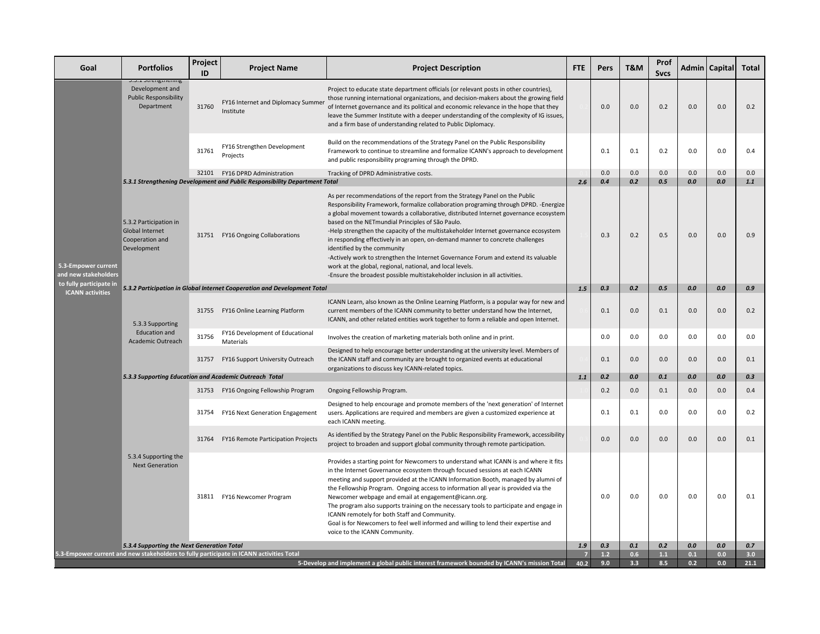| Goal                                        | <b>Portfolios</b>                                                                                                                     | Project<br>ID                                                            | <b>Project Name</b>                                                                                             | <b>Project Description</b>                                                                                                                                                                                                                                                                                                                                                                                                                                                                                                                                                                                                                                                                                                                              | <b>FTE</b> | <b>Pers</b>  | T&M        | Prof<br><b>Svcs</b> |            | Admin   Capital | <b>Total</b> |
|---------------------------------------------|---------------------------------------------------------------------------------------------------------------------------------------|--------------------------------------------------------------------------|-----------------------------------------------------------------------------------------------------------------|---------------------------------------------------------------------------------------------------------------------------------------------------------------------------------------------------------------------------------------------------------------------------------------------------------------------------------------------------------------------------------------------------------------------------------------------------------------------------------------------------------------------------------------------------------------------------------------------------------------------------------------------------------------------------------------------------------------------------------------------------------|------------|--------------|------------|---------------------|------------|-----------------|--------------|
|                                             | J.J.I JUCIISUICIIIIIS<br>Development and<br><b>Public Responsibility</b><br>Department                                                | 31760                                                                    | FY16 Internet and Diplomacy Summer<br>Institute                                                                 | Project to educate state department officials (or relevant posts in other countries),<br>those running international organizations, and decision-makers about the growing field<br>of Internet governance and its political and economic relevance in the hope that they<br>leave the Summer Institute with a deeper understanding of the complexity of IG issues,<br>and a firm base of understanding related to Public Diplomacy.                                                                                                                                                                                                                                                                                                                     |            | 0.0          | 0.0        | 0.2                 | 0.0        | 0.0             | 0.2          |
|                                             |                                                                                                                                       | 31761                                                                    | FY16 Strengthen Development<br>Projects                                                                         | Build on the recommendations of the Strategy Panel on the Public Responsibility<br>Framework to continue to streamline and formalize ICANN's approach to development<br>and public responsibility programing through the DPRD.                                                                                                                                                                                                                                                                                                                                                                                                                                                                                                                          |            | 0.1          | 0.1        | 0.2                 | 0.0        | 0.0             | 0.4          |
|                                             |                                                                                                                                       |                                                                          | 32101 FY16 DPRD Administration                                                                                  | Tracking of DPRD Administrative costs.                                                                                                                                                                                                                                                                                                                                                                                                                                                                                                                                                                                                                                                                                                                  |            | 0.0          | 0.0        | 0.0                 | 0.0        | 0.0             | 0.0          |
| 5.3-Empower current<br>and new stakeholders | 5.3.2 Participation in<br>Global Internet<br>Cooperation and<br>Development                                                           |                                                                          | 5.3.1 Strengthening Development and Public Responsibility Department Total<br>31751 FY16 Ongoing Collaborations | As per recommendations of the report from the Strategy Panel on the Public<br>Responsibility Framework, formalize collaboration programing through DPRD. -Energize<br>a global movement towards a collaborative, distributed Internet governance ecosystem<br>based on the NETmundial Principles of São Paulo.<br>-Help strengthen the capacity of the multistakeholder Internet governance ecosystem<br>in responding effectively in an open, on-demand manner to concrete challenges<br>identified by the community<br>-Actively work to strengthen the Internet Governance Forum and extend its valuable<br>work at the global, regional, national, and local levels.<br>-Ensure the broadest possible multistakeholder inclusion in all activities. | 2.6        | 0.4<br>0.3   | 0.2<br>0.2 | 0.5<br>0.5          | 0.0<br>0.0 | 0.0<br>0.0      | $1.1$<br>0.9 |
| to fully participate in                     |                                                                                                                                       | 5.3.2 Participation in Global Internet Cooperation and Development Total |                                                                                                                 |                                                                                                                                                                                                                                                                                                                                                                                                                                                                                                                                                                                                                                                                                                                                                         |            |              |            | 0.5                 | 0.0        | 0.0             | 0.9          |
| <b>ICANN</b> activities                     | 5.3.3 Supporting<br><b>Education and</b>                                                                                              |                                                                          | 31755 FY16 Online Learning Platform                                                                             | ICANN Learn, also known as the Online Learning Platform, is a popular way for new and<br>current members of the ICANN community to better understand how the Internet,<br>ICANN, and other related entities work together to form a reliable and open Internet.                                                                                                                                                                                                                                                                                                                                                                                                                                                                                         | 1.5        | 0.3<br>0.1   | 0.2<br>0.0 | 0.1                 | 0.0        | 0.0             | 0.2          |
|                                             | Academic Outreach                                                                                                                     | 31756                                                                    | FY16 Development of Educational<br>Materials                                                                    | Involves the creation of marketing materials both online and in print.                                                                                                                                                                                                                                                                                                                                                                                                                                                                                                                                                                                                                                                                                  |            | 0.0          | 0.0        | 0.0                 | 0.0        | 0.0             | 0.0          |
|                                             |                                                                                                                                       | 31757                                                                    | FY16 Support University Outreach                                                                                | Designed to help encourage better understanding at the university level. Members of<br>the ICANN staff and community are brought to organized events at educational<br>organizations to discuss key ICANN-related topics.                                                                                                                                                                                                                                                                                                                                                                                                                                                                                                                               |            | 0.1          | 0.0        | 0.0                 | 0.0        | 0.0             | 0.1          |
|                                             |                                                                                                                                       |                                                                          | 5.3.3 Supporting Education and Academic Outreach Total                                                          |                                                                                                                                                                                                                                                                                                                                                                                                                                                                                                                                                                                                                                                                                                                                                         | 1.1        | 0.2          | 0.0        | 0.1                 | 0.0        | 0.0             | 0.3          |
|                                             |                                                                                                                                       |                                                                          | 31753 FY16 Ongoing Fellowship Program                                                                           | Ongoing Fellowship Program.                                                                                                                                                                                                                                                                                                                                                                                                                                                                                                                                                                                                                                                                                                                             |            | 0.2          | 0.0        | 0.1                 | 0.0        | 0.0             | 0.4          |
|                                             |                                                                                                                                       | 31754                                                                    | FY16 Next Generation Engagement                                                                                 | Designed to help encourage and promote members of the 'next generation' of Internet<br>users. Applications are required and members are given a customized experience at<br>each ICANN meeting.                                                                                                                                                                                                                                                                                                                                                                                                                                                                                                                                                         |            | 0.1          | 0.1        | $0.0\,$             | 0.0        | 0.0             | 0.2          |
|                                             |                                                                                                                                       | 31764                                                                    | FY16 Remote Participation Projects                                                                              | As identified by the Strategy Panel on the Public Responsibility Framework, accessibility<br>project to broaden and support global community through remote participation.                                                                                                                                                                                                                                                                                                                                                                                                                                                                                                                                                                              |            | 0.0          | 0.0        | 0.0                 | 0.0        | 0.0             | 0.1          |
|                                             | 5.3.4 Supporting the<br><b>Next Generation</b>                                                                                        |                                                                          | 31811 FY16 Newcomer Program                                                                                     | Provides a starting point for Newcomers to understand what ICANN is and where it fits<br>in the Internet Governance ecosystem through focused sessions at each ICANN<br>meeting and support provided at the ICANN Information Booth, managed by alumni of<br>the Fellowship Program. Ongoing access to information all year is provided via the<br>Newcomer webpage and email at engagement@icann.org.<br>The program also supports training on the necessary tools to participate and engage in<br>ICANN remotely for both Staff and Community.<br>Goal is for Newcomers to feel well informed and willing to lend their expertise and<br>voice to the ICANN Community.                                                                                |            | 0.0          | 0.0        | 0.0                 | 0.0        | 0.0             | 0.1          |
|                                             | 5.3.4 Supporting the Next Generation Total<br>5.3-Empower current and new stakeholders to fully participate in ICANN activities Total |                                                                          |                                                                                                                 |                                                                                                                                                                                                                                                                                                                                                                                                                                                                                                                                                                                                                                                                                                                                                         |            | 0.3<br>$1.2$ | 0.1<br>0.6 | 0.2<br>$1.1$        | 0.0<br>0.1 | 0.0<br>0.0      | 0.7<br>3.0   |
|                                             | 5-Develop and implement a global public interest framework bounded by ICANN's mission Total                                           |                                                                          |                                                                                                                 |                                                                                                                                                                                                                                                                                                                                                                                                                                                                                                                                                                                                                                                                                                                                                         |            |              |            | 8.5                 | 0.2        | 0.0             | 21.1         |